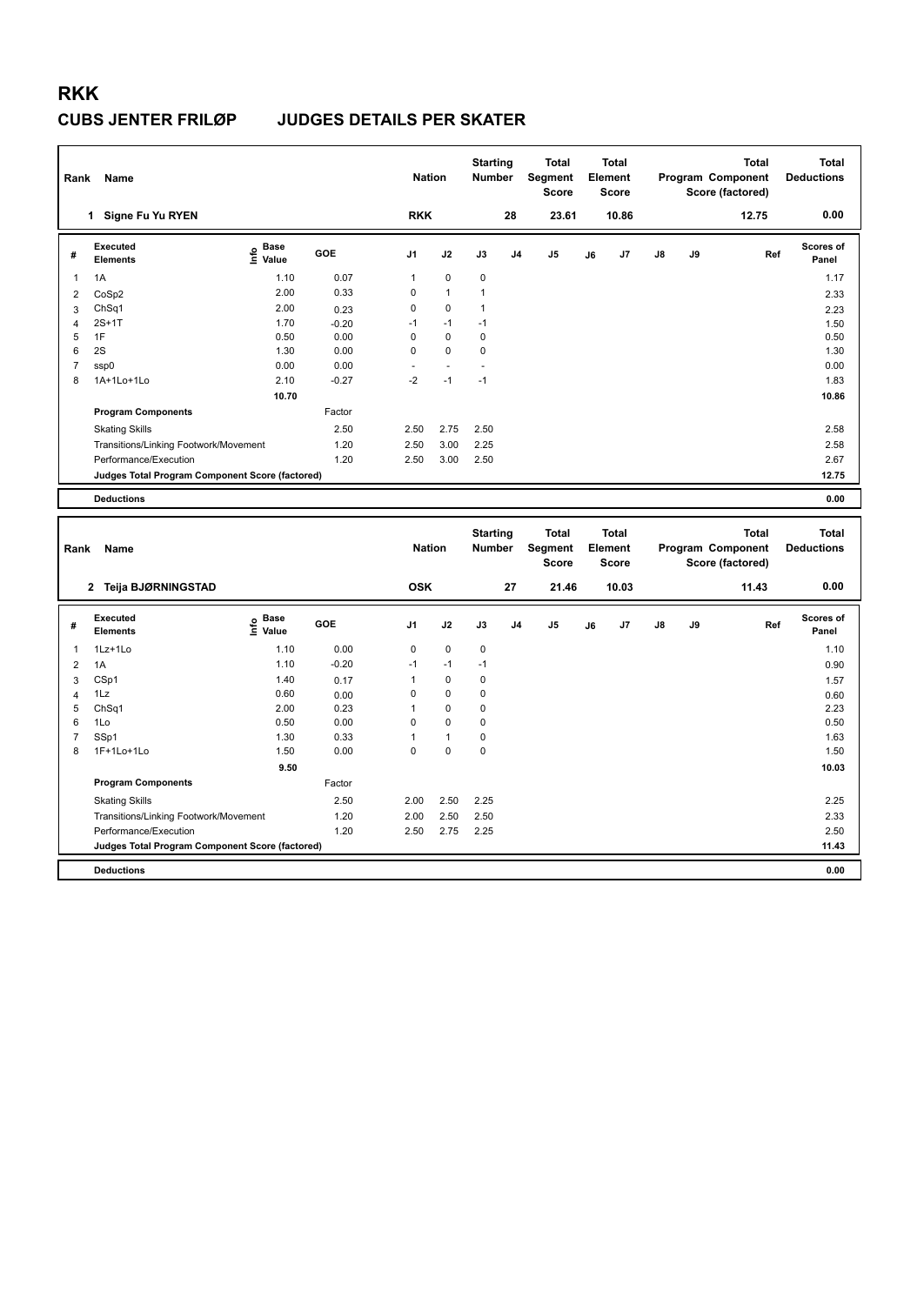| Rank                | Name                                            |                                           |         | <b>Nation</b> |                | <b>Starting</b><br><b>Number</b> |                | <b>Total</b><br>Segment<br><b>Score</b> |    | <b>Total</b><br>Element<br><b>Score</b> |    |    | <b>Total</b><br>Program Component<br>Score (factored) | <b>Total</b><br><b>Deductions</b> |
|---------------------|-------------------------------------------------|-------------------------------------------|---------|---------------|----------------|----------------------------------|----------------|-----------------------------------------|----|-----------------------------------------|----|----|-------------------------------------------------------|-----------------------------------|
|                     | 1 Signe Fu Yu RYEN                              |                                           |         | <b>RKK</b>    |                |                                  | 28             | 23.61                                   |    | 10.86                                   |    |    | 12.75                                                 | 0.00                              |
| #                   | <b>Executed</b><br><b>Elements</b>              | e Base<br>E Value<br>Value                | GOE     | J1            | J2             | J3                               | J <sub>4</sub> | J <sub>5</sub>                          | J6 | J7                                      | J8 | J9 | Ref                                                   | Scores of<br>Panel                |
| 1                   | 1A                                              | 1.10                                      | 0.07    | $\mathbf{1}$  | $\pmb{0}$      | $\pmb{0}$                        |                |                                         |    |                                         |    |    |                                                       | 1.17                              |
| $\overline{2}$      | CoSp2                                           | 2.00                                      | 0.33    | 0             | 1              | 1                                |                |                                         |    |                                         |    |    |                                                       | 2.33                              |
| 3                   | ChSq1                                           | 2.00                                      | 0.23    | 0             | 0              | 1                                |                |                                         |    |                                         |    |    |                                                       | 2.23                              |
| $\overline{4}$      | $2S+1T$                                         | 1.70                                      | $-0.20$ | $-1$          | $-1$           | $-1$                             |                |                                         |    |                                         |    |    |                                                       | 1.50                              |
| 5                   | 1F                                              | 0.50                                      | 0.00    | 0             | $\mathbf 0$    | $\mathbf 0$                      |                |                                         |    |                                         |    |    |                                                       | 0.50                              |
| 6                   | 2S                                              | 1.30                                      | 0.00    | $\Omega$      | 0              | 0                                |                |                                         |    |                                         |    |    |                                                       | 1.30                              |
| $\overline{7}$<br>8 | ssp0                                            | 0.00                                      | 0.00    | $-2$          | $\blacksquare$ | $-1$                             |                |                                         |    |                                         |    |    |                                                       | 0.00                              |
|                     | 1A+1Lo+1Lo                                      | 2.10                                      | $-0.27$ |               | $-1$           |                                  |                |                                         |    |                                         |    |    |                                                       | 1.83                              |
|                     |                                                 | 10.70                                     |         |               |                |                                  |                |                                         |    |                                         |    |    |                                                       | 10.86                             |
|                     | <b>Program Components</b>                       |                                           | Factor  |               |                |                                  |                |                                         |    |                                         |    |    |                                                       |                                   |
|                     | <b>Skating Skills</b>                           |                                           | 2.50    | 2.50          | 2.75           | 2.50                             |                |                                         |    |                                         |    |    |                                                       | 2.58                              |
|                     | Transitions/Linking Footwork/Movement           |                                           | 1.20    | 2.50          | 3.00           | 2.25                             |                |                                         |    |                                         |    |    |                                                       | 2.58                              |
|                     | Performance/Execution                           |                                           | 1.20    | 2.50          | 3.00           | 2.50                             |                |                                         |    |                                         |    |    |                                                       | 2.67                              |
|                     | Judges Total Program Component Score (factored) |                                           |         |               |                |                                  |                |                                         |    |                                         |    |    |                                                       | 12.75                             |
|                     | <b>Deductions</b>                               |                                           |         |               |                |                                  |                |                                         |    |                                         |    |    |                                                       | 0.00                              |
|                     |                                                 |                                           |         |               |                |                                  |                |                                         |    |                                         |    |    |                                                       |                                   |
| Rank                | Name                                            |                                           |         | <b>Nation</b> |                | <b>Starting</b><br><b>Number</b> |                | Total<br>Segment<br><b>Score</b>        |    | <b>Total</b><br>Element<br><b>Score</b> |    |    | <b>Total</b><br>Program Component<br>Score (factored) | <b>Total</b><br><b>Deductions</b> |
|                     | 2 Teija BJØRNINGSTAD                            |                                           |         | <b>OSK</b>    |                |                                  | 27             | 21.46                                   |    | 10.03                                   |    |    | 11.43                                                 | 0.00                              |
| #                   | <b>Executed</b><br><b>Elements</b>              | $\frac{e}{E}$ Base<br>$\frac{E}{E}$ Value | GOE     | J1            | J2             | J3                               | J <sub>4</sub> | J5                                      | J6 | J7                                      | J8 | J9 | Ref                                                   | Scores of<br>Panel                |
| 1                   | 1Lz+1Lo                                         | 1.10                                      | 0.00    | 0             | $\pmb{0}$      | 0                                |                |                                         |    |                                         |    |    |                                                       | 1.10                              |
| $\overline{2}$      | 1A                                              | 1.10                                      | $-0.20$ | $-1$          | $-1$           | $-1$                             |                |                                         |    |                                         |    |    |                                                       | 0.90                              |
| 3                   | CSp1                                            | 1.40                                      | 0.17    | 1             | $\mathbf 0$    | 0                                |                |                                         |    |                                         |    |    |                                                       | 1.57                              |
| $\overline{4}$      | 1Lz                                             | 0.60                                      | 0.00    | 0             | 0              | $\mathbf 0$                      |                |                                         |    |                                         |    |    |                                                       | 0.60                              |
| 5                   | Ch <sub>Sq1</sub>                               | 2.00                                      | 0.23    | 1             | 0              | 0                                |                |                                         |    |                                         |    |    |                                                       | 2.23                              |
| 6                   | 1Lo                                             | 0.50                                      | 0.00    | 0             | 0              | $\pmb{0}$                        |                |                                         |    |                                         |    |    |                                                       | 0.50                              |
| $\overline{7}$      | SSp1                                            | 1.30                                      | 0.33    | 1             | 1              | $\mathbf 0$                      |                |                                         |    |                                         |    |    |                                                       | 1.63                              |
| 8                   | 1F+1Lo+1Lo                                      | 1.50                                      | 0.00    | $\Omega$      | 0              | 0                                |                |                                         |    |                                         |    |    |                                                       | 1.50                              |
|                     |                                                 | 9.50                                      |         |               |                |                                  |                |                                         |    |                                         |    |    |                                                       | 10.03                             |
|                     | <b>Program Components</b>                       |                                           | Factor  |               |                |                                  |                |                                         |    |                                         |    |    |                                                       |                                   |
|                     | <b>Skating Skills</b>                           |                                           | 2.50    | 2.00          | 2.50           | 2.25                             |                |                                         |    |                                         |    |    |                                                       | 2.25                              |
|                     | Transitions/Linking Footwork/Movement           |                                           | 1.20    | 2.00          | 2.50           | 2.50                             |                |                                         |    |                                         |    |    |                                                       | 2.33                              |
|                     | Performance/Execution                           |                                           | 1.20    | 2.50          | 2.75           | 2.25                             |                |                                         |    |                                         |    |    |                                                       | 2.50                              |
|                     | Judges Total Program Component Score (factored) |                                           |         |               |                |                                  |                |                                         |    |                                         |    |    |                                                       | 11.43                             |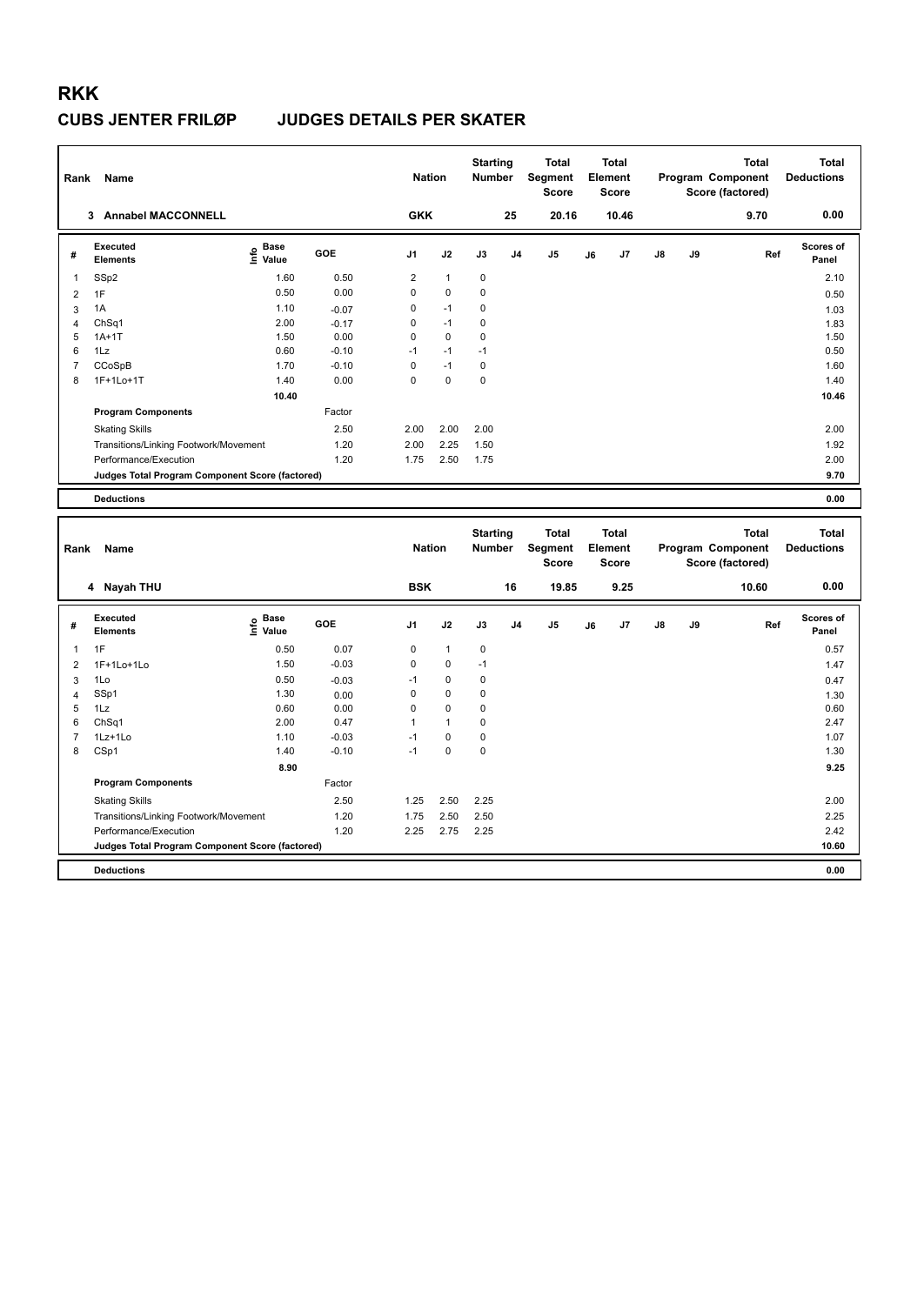| Rank                | Name                                            |                    |                 | <b>Nation</b>  |              | <b>Starting</b><br><b>Number</b> |                | Total<br>Segment<br><b>Score</b>        |    | Total<br>Element<br><b>Score</b>        |    |    | <b>Total</b><br>Program Component<br>Score (factored) | <b>Total</b><br><b>Deductions</b> |
|---------------------|-------------------------------------------------|--------------------|-----------------|----------------|--------------|----------------------------------|----------------|-----------------------------------------|----|-----------------------------------------|----|----|-------------------------------------------------------|-----------------------------------|
|                     | 3 Annabel MACCONNELL                            |                    |                 | <b>GKK</b>     |              |                                  | 25             | 20.16                                   |    | 10.46                                   |    |    | 9.70                                                  | 0.00                              |
| #                   | <b>Executed</b><br><b>Elements</b>              | e Base<br>E Value  | GOE             | J <sub>1</sub> | J2           | J3                               | J <sub>4</sub> | J <sub>5</sub>                          | J6 | J7                                      | J8 | J9 | Ref                                                   | Scores of<br>Panel                |
| $\mathbf{1}$        | SSp2                                            | 1.60               | 0.50            | $\overline{2}$ | $\mathbf{1}$ | $\mathbf 0$                      |                |                                         |    |                                         |    |    |                                                       | 2.10                              |
| $\overline{2}$      | 1F                                              | 0.50               | 0.00            | $\mathbf 0$    | $\mathbf 0$  | $\mathbf 0$                      |                |                                         |    |                                         |    |    |                                                       | 0.50                              |
| 3                   | 1A                                              | 1.10               | $-0.07$         | 0              | $-1$         | 0                                |                |                                         |    |                                         |    |    |                                                       | 1.03                              |
| $\overline{4}$      | ChSq1                                           | 2.00               | $-0.17$         | 0              | $-1$         | 0                                |                |                                         |    |                                         |    |    |                                                       | 1.83                              |
| 5                   | $1A+1T$                                         | 1.50               | 0.00            | $\mathbf 0$    | $\mathbf 0$  | 0                                |                |                                         |    |                                         |    |    |                                                       | 1.50                              |
| 6                   | 1Lz                                             | 0.60               | $-0.10$         | $-1$           | $-1$         | $-1$                             |                |                                         |    |                                         |    |    |                                                       | 0.50                              |
| $\overline{7}$      | CCoSpB                                          | 1.70               | $-0.10$         | $\mathsf 0$    | $-1$         | 0                                |                |                                         |    |                                         |    |    |                                                       | 1.60                              |
| 8                   | 1F+1Lo+1T                                       | 1.40               | 0.00            | $\mathbf 0$    | $\mathbf 0$  | 0                                |                |                                         |    |                                         |    |    |                                                       | 1.40                              |
|                     |                                                 | 10.40              |                 |                |              |                                  |                |                                         |    |                                         |    |    |                                                       | 10.46                             |
|                     | <b>Program Components</b>                       |                    | Factor          |                |              |                                  |                |                                         |    |                                         |    |    |                                                       |                                   |
|                     | <b>Skating Skills</b>                           |                    | 2.50            | 2.00           | 2.00         | 2.00                             |                |                                         |    |                                         |    |    |                                                       | 2.00                              |
|                     | Transitions/Linking Footwork/Movement           |                    | 1.20            | 2.00           | 2.25         | 1.50                             |                |                                         |    |                                         |    |    |                                                       | 1.92                              |
|                     | Performance/Execution                           |                    | 1.20            | 1.75           | 2.50         | 1.75                             |                |                                         |    |                                         |    |    |                                                       | 2.00                              |
|                     | Judges Total Program Component Score (factored) |                    |                 |                |              |                                  |                |                                         |    |                                         |    |    |                                                       | 9.70                              |
|                     | <b>Deductions</b>                               |                    |                 |                |              |                                  |                |                                         |    |                                         |    |    |                                                       | 0.00                              |
|                     |                                                 |                    |                 |                |              |                                  |                |                                         |    |                                         |    |    |                                                       |                                   |
| Rank                | Name                                            |                    |                 | <b>Nation</b>  |              | <b>Starting</b><br>Number        |                | <b>Total</b><br>Segment<br><b>Score</b> |    | <b>Total</b><br>Element<br><b>Score</b> |    |    | <b>Total</b><br>Program Component<br>Score (factored) | <b>Total</b><br><b>Deductions</b> |
|                     | 4 Nayah THU                                     |                    |                 | <b>BSK</b>     |              |                                  | 16             | 19.85                                   |    | 9.25                                    |    |    | 10.60                                                 | 0.00                              |
| #                   | <b>Executed</b><br><b>Elements</b>              | Base<br>۴<br>Value | <b>GOE</b>      | J <sub>1</sub> | J2           | J3                               | J <sub>4</sub> | J <sub>5</sub>                          | J6 | J7                                      | J8 | J9 | Ref                                                   | <b>Scores of</b><br>Panel         |
| -1                  | 1F                                              |                    |                 | 0              | $\mathbf{1}$ | $\mathbf 0$                      |                |                                         |    |                                         |    |    |                                                       |                                   |
|                     |                                                 | 0.50<br>1.50       | 0.07<br>$-0.03$ | $\Omega$       | $\Omega$     | $-1$                             |                |                                         |    |                                         |    |    |                                                       | 0.57                              |
| $\overline{2}$      | 1F+1Lo+1Lo<br>1Lo                               | 0.50               |                 | $-1$           | 0            | 0                                |                |                                         |    |                                         |    |    |                                                       | 1.47                              |
| 3<br>$\overline{4}$ | SSp1                                            | 1.30               | $-0.03$<br>0.00 | $\mathbf 0$    | 0            | 0                                |                |                                         |    |                                         |    |    |                                                       | 0.47<br>1.30                      |
| 5                   | 1Lz                                             | 0.60               | 0.00            | $\Omega$       | $\Omega$     | $\Omega$                         |                |                                         |    |                                         |    |    |                                                       | 0.60                              |
| 6                   | Ch <sub>Sq1</sub>                               | 2.00               | 0.47            | 1              | $\mathbf{1}$ | 0                                |                |                                         |    |                                         |    |    |                                                       | 2.47                              |
| $\overline{7}$      | 1Lz+1Lo                                         | 1.10               | $-0.03$         | $-1$           | $\mathbf 0$  | $\mathbf 0$                      |                |                                         |    |                                         |    |    |                                                       | 1.07                              |
| 8                   | CSp1                                            | 1.40               | $-0.10$         | $-1$           | $\mathbf 0$  | 0                                |                |                                         |    |                                         |    |    |                                                       | 1.30                              |
|                     |                                                 | 8.90               |                 |                |              |                                  |                |                                         |    |                                         |    |    |                                                       | 9.25                              |
|                     | <b>Program Components</b>                       |                    | Factor          |                |              |                                  |                |                                         |    |                                         |    |    |                                                       |                                   |
|                     | <b>Skating Skills</b>                           |                    | 2.50            | 1.25           | 2.50         | 2.25                             |                |                                         |    |                                         |    |    |                                                       | 2.00                              |
|                     | Transitions/Linking Footwork/Movement           |                    | 1.20            | 1.75           | 2.50         | 2.50                             |                |                                         |    |                                         |    |    |                                                       | 2.25                              |
|                     | Performance/Execution                           |                    | 1.20            | 2.25           | 2.75         | 2.25                             |                |                                         |    |                                         |    |    |                                                       | 2.42                              |
|                     | Judges Total Program Component Score (factored) |                    |                 |                |              |                                  |                |                                         |    |                                         |    |    |                                                       | 10.60                             |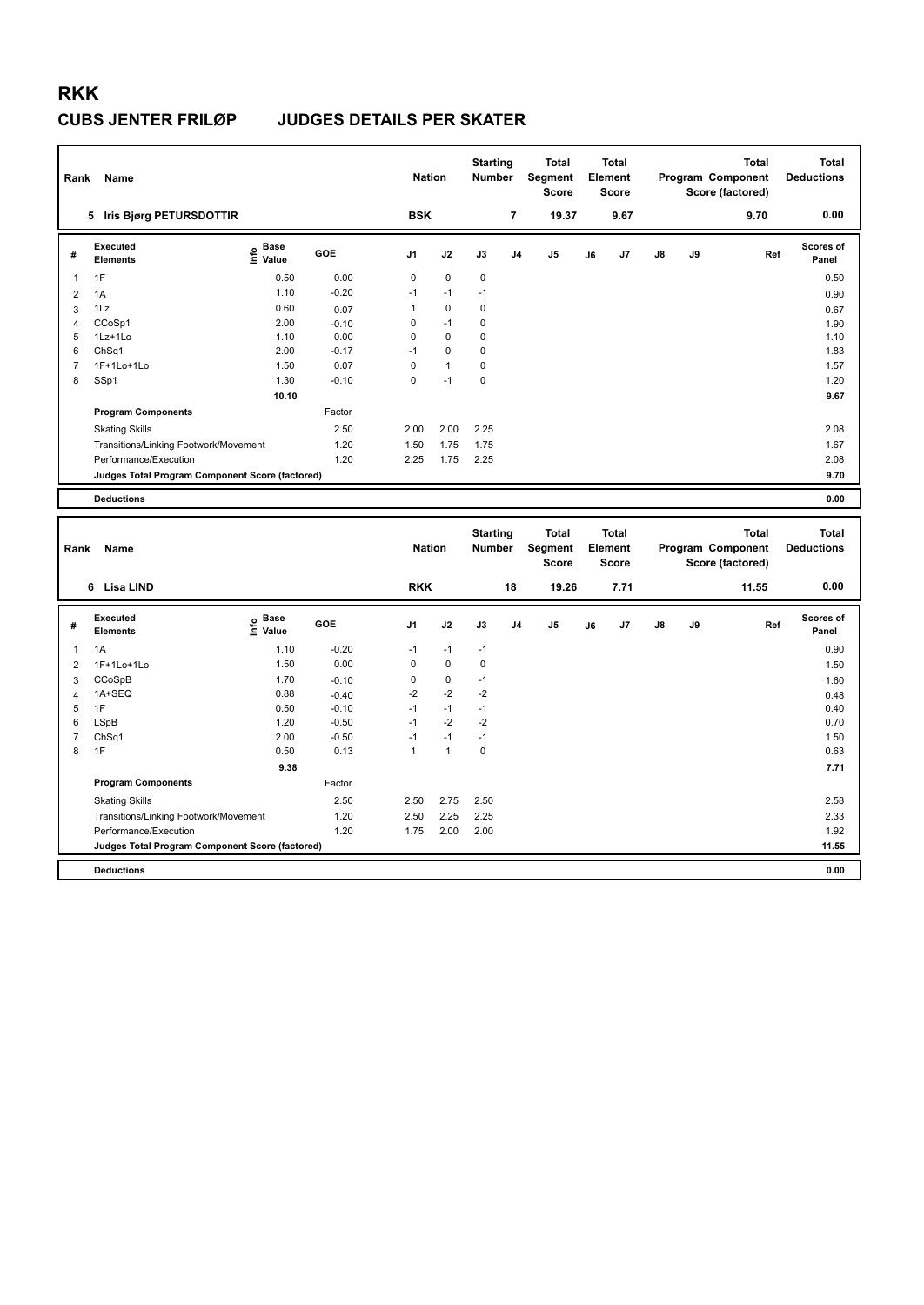| Rank                | Name                                                                     |                                                                                           |                    | <b>Nation</b>  |              | <b>Starting</b><br>Number        |                         | Total<br>Segment<br><b>Score</b>        |    | <b>Total</b><br>Element<br><b>Score</b> |    |    | <b>Total</b><br>Program Component<br>Score (factored) | <b>Total</b><br><b>Deductions</b> |
|---------------------|--------------------------------------------------------------------------|-------------------------------------------------------------------------------------------|--------------------|----------------|--------------|----------------------------------|-------------------------|-----------------------------------------|----|-----------------------------------------|----|----|-------------------------------------------------------|-----------------------------------|
|                     | 5 Iris Bjørg PETURSDOTTIR                                                |                                                                                           |                    | <b>BSK</b>     |              |                                  | $\overline{\mathbf{r}}$ | 19.37                                   |    | 9.67                                    |    |    | 9.70                                                  | 0.00                              |
| #                   | <b>Executed</b><br><b>Elements</b>                                       | e Base<br>E Value                                                                         | GOE                | J <sub>1</sub> | J2           | J3                               | J <sub>4</sub>          | J <sub>5</sub>                          | J6 | J7                                      | J8 | J9 | Ref                                                   | Scores of<br>Panel                |
| 1                   | 1F                                                                       | 0.50                                                                                      | 0.00               | $\mathsf 0$    | $\pmb{0}$    | 0                                |                         |                                         |    |                                         |    |    |                                                       | 0.50                              |
| $\overline{2}$      | 1A                                                                       | 1.10                                                                                      | $-0.20$            | $-1$           | $-1$         | $-1$                             |                         |                                         |    |                                         |    |    |                                                       | 0.90                              |
| 3                   | 1Lz                                                                      | 0.60                                                                                      | 0.07               | $\mathbf{1}$   | 0            | 0                                |                         |                                         |    |                                         |    |    |                                                       | 0.67                              |
| $\overline{4}$      | CCoSp1                                                                   | 2.00                                                                                      | $-0.10$            | 0              | $-1$         | 0                                |                         |                                         |    |                                         |    |    |                                                       | 1.90                              |
| 5                   | 1Lz+1Lo                                                                  | 1.10                                                                                      | 0.00               | $\mathbf 0$    | $\mathbf 0$  | 0                                |                         |                                         |    |                                         |    |    |                                                       | 1.10                              |
| 6                   | Ch <sub>Sq1</sub>                                                        | 2.00                                                                                      | $-0.17$            | $-1$           | 0            | 0                                |                         |                                         |    |                                         |    |    |                                                       | 1.83                              |
| $\overline{7}$      | 1F+1Lo+1Lo                                                               | 1.50                                                                                      | 0.07               | $\mathsf 0$    | $\mathbf{1}$ | 0                                |                         |                                         |    |                                         |    |    |                                                       | 1.57                              |
| 8                   | SSp1                                                                     | 1.30                                                                                      | $-0.10$            | $\mathbf 0$    | $-1$         | 0                                |                         |                                         |    |                                         |    |    |                                                       | 1.20                              |
|                     |                                                                          | 10.10                                                                                     |                    |                |              |                                  |                         |                                         |    |                                         |    |    |                                                       | 9.67                              |
|                     | <b>Program Components</b>                                                |                                                                                           | Factor             |                |              |                                  |                         |                                         |    |                                         |    |    |                                                       |                                   |
|                     | <b>Skating Skills</b>                                                    |                                                                                           | 2.50               | 2.00           | 2.00         | 2.25                             |                         |                                         |    |                                         |    |    |                                                       | 2.08                              |
|                     | Transitions/Linking Footwork/Movement                                    |                                                                                           | 1.20               | 1.50           | 1.75         | 1.75                             |                         |                                         |    |                                         |    |    |                                                       | 1.67                              |
|                     | Performance/Execution                                                    |                                                                                           | 1.20               | 2.25           | 1.75         | 2.25                             |                         |                                         |    |                                         |    |    |                                                       | 2.08                              |
|                     | Judges Total Program Component Score (factored)                          |                                                                                           |                    |                |              |                                  |                         |                                         |    |                                         |    |    |                                                       | 9.70                              |
|                     | <b>Deductions</b>                                                        |                                                                                           |                    |                |              |                                  |                         |                                         |    |                                         |    |    |                                                       | 0.00                              |
|                     |                                                                          |                                                                                           |                    |                |              |                                  |                         |                                         |    |                                         |    |    |                                                       |                                   |
|                     |                                                                          |                                                                                           |                    |                |              |                                  |                         |                                         |    |                                         |    |    |                                                       |                                   |
| Rank                | Name                                                                     |                                                                                           |                    | <b>Nation</b>  |              | <b>Starting</b><br><b>Number</b> |                         | <b>Total</b><br>Segment<br><b>Score</b> |    | <b>Total</b><br>Element<br><b>Score</b> |    |    | <b>Total</b><br>Program Component<br>Score (factored) | <b>Total</b><br><b>Deductions</b> |
|                     | 6 Lisa LIND                                                              |                                                                                           |                    | <b>RKK</b>     |              |                                  | 18                      | 19.26                                   |    | 7.71                                    |    |    | 11.55                                                 | 0.00                              |
| #                   | <b>Executed</b><br><b>Elements</b>                                       |                                                                                           | GOE                | J <sub>1</sub> | J2           | J3                               | J <sub>4</sub>          | J <sub>5</sub>                          | J6 | J7                                      | J8 | J9 | Ref                                                   | Scores of<br>Panel                |
|                     |                                                                          | $\begin{array}{c}\n\frac{1}{2} \\ \frac{1}{2} \\ \frac{1}{2} \\ \frac{1}{2}\n\end{array}$ |                    |                |              |                                  |                         |                                         |    |                                         |    |    |                                                       |                                   |
| 1                   | 1A                                                                       | 1.10                                                                                      | $-0.20$            | $-1$           | $-1$         | $-1$                             |                         |                                         |    |                                         |    |    |                                                       | 0.90                              |
| $\overline{2}$      | 1F+1Lo+1Lo                                                               | 1.50                                                                                      | 0.00               | $\mathsf 0$    | $\pmb{0}$    | $\pmb{0}$                        |                         |                                         |    |                                         |    |    |                                                       | 1.50                              |
| 3                   | CCoSpB                                                                   | 1.70                                                                                      | $-0.10$            | $\mathsf 0$    | 0            | $-1$                             |                         |                                         |    |                                         |    |    |                                                       | 1.60                              |
| $\overline{4}$<br>5 | 1A+SEQ<br>1F                                                             | 0.88<br>0.50                                                                              | $-0.40$<br>$-0.10$ | $-2$<br>$-1$   | $-2$<br>$-1$ | $-2$<br>$-1$                     |                         |                                         |    |                                         |    |    |                                                       | 0.48<br>0.40                      |
| 6                   |                                                                          | 1.20                                                                                      | $-0.50$            | $-1$           | $-2$         | $-2$                             |                         |                                         |    |                                         |    |    |                                                       | 0.70                              |
| $\overline{7}$      | LSpB<br>ChSq1                                                            | 2.00                                                                                      | $-0.50$            | $-1$           | $-1$         | $-1$                             |                         |                                         |    |                                         |    |    |                                                       | 1.50                              |
| 8                   | 1F                                                                       | 0.50                                                                                      | 0.13               | $\mathbf{1}$   | $\mathbf{1}$ | $\pmb{0}$                        |                         |                                         |    |                                         |    |    |                                                       | 0.63                              |
|                     |                                                                          | 9.38                                                                                      |                    |                |              |                                  |                         |                                         |    |                                         |    |    |                                                       | 7.71                              |
|                     | <b>Program Components</b>                                                |                                                                                           | Factor             |                |              |                                  |                         |                                         |    |                                         |    |    |                                                       |                                   |
|                     |                                                                          |                                                                                           |                    |                |              |                                  |                         |                                         |    |                                         |    |    |                                                       |                                   |
|                     | <b>Skating Skills</b>                                                    |                                                                                           | 2.50               | 2.50           | 2.75         | 2.50                             |                         |                                         |    |                                         |    |    |                                                       | 2.58                              |
|                     | Transitions/Linking Footwork/Movement                                    |                                                                                           | 1.20               | 2.50           | 2.25         | 2.25                             |                         |                                         |    |                                         |    |    |                                                       | 2.33                              |
|                     | Performance/Execution<br>Judges Total Program Component Score (factored) |                                                                                           | 1.20               | 1.75           | 2.00         | 2.00                             |                         |                                         |    |                                         |    |    |                                                       | 1.92<br>11.55                     |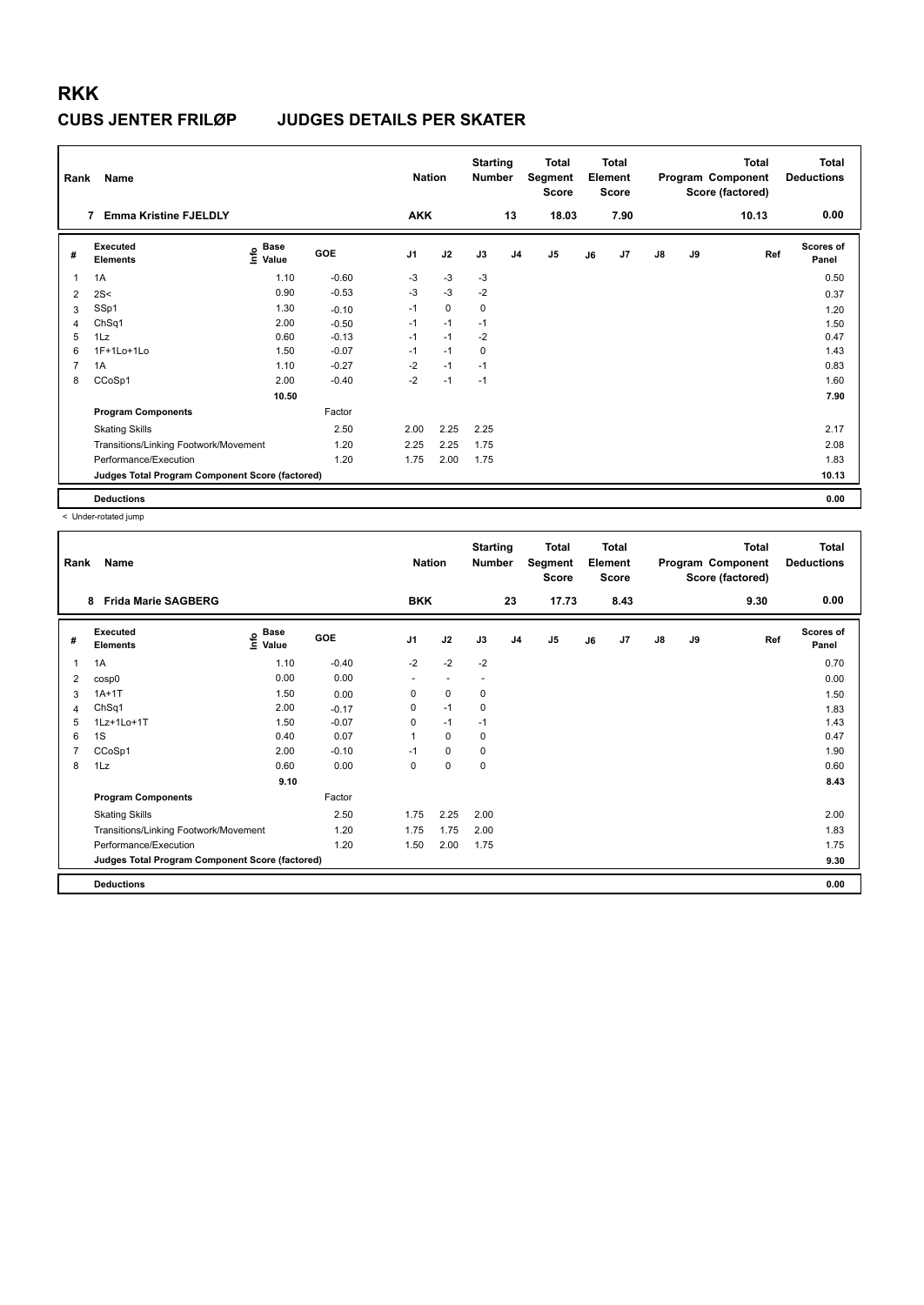| Rank           | Name                                            |                                    |         | <b>Nation</b>  |             | <b>Starting</b><br><b>Number</b> |                | <b>Total</b><br>Segment<br><b>Score</b> |    | <b>Total</b><br>Element<br><b>Score</b> |               |    | Total<br>Program Component<br>Score (factored) | <b>Total</b><br><b>Deductions</b> |
|----------------|-------------------------------------------------|------------------------------------|---------|----------------|-------------|----------------------------------|----------------|-----------------------------------------|----|-----------------------------------------|---------------|----|------------------------------------------------|-----------------------------------|
|                | <b>Emma Kristine FJELDLY</b><br>7               |                                    |         | <b>AKK</b>     |             |                                  | 13             | 18.03                                   |    | 7.90                                    |               |    | 10.13                                          | 0.00                              |
| #              | Executed<br><b>Elements</b>                     | <b>Base</b><br>$\frac{6}{5}$ Value | GOE     | J <sub>1</sub> | J2          | J3                               | J <sub>4</sub> | J <sub>5</sub>                          | J6 | J7                                      | $\mathsf{J}8$ | J9 | Ref                                            | Scores of<br>Panel                |
| 1              | 1A                                              | 1.10                               | $-0.60$ | $-3$           | $-3$        | $-3$                             |                |                                         |    |                                         |               |    |                                                | 0.50                              |
| 2              | 2S<                                             | 0.90                               | $-0.53$ | $-3$           | $-3$        | $-2$                             |                |                                         |    |                                         |               |    |                                                | 0.37                              |
| 3              | SSp1                                            | 1.30                               | $-0.10$ | $-1$           | $\mathbf 0$ | 0                                |                |                                         |    |                                         |               |    |                                                | 1.20                              |
| 4              | ChSq1                                           | 2.00                               | $-0.50$ | $-1$           | $-1$        | $-1$                             |                |                                         |    |                                         |               |    |                                                | 1.50                              |
| 5              | 1Lz                                             | 0.60                               | $-0.13$ | $-1$           | $-1$        | $-2$                             |                |                                         |    |                                         |               |    |                                                | 0.47                              |
| 6              | 1F+1Lo+1Lo                                      | 1.50                               | $-0.07$ | $-1$           | $-1$        | 0                                |                |                                         |    |                                         |               |    |                                                | 1.43                              |
| $\overline{7}$ | 1A                                              | 1.10                               | $-0.27$ | $-2$           | $-1$        | $-1$                             |                |                                         |    |                                         |               |    |                                                | 0.83                              |
| 8              | CCoSp1                                          | 2.00                               | $-0.40$ | $-2$           | $-1$        | $-1$                             |                |                                         |    |                                         |               |    |                                                | 1.60                              |
|                |                                                 | 10.50                              |         |                |             |                                  |                |                                         |    |                                         |               |    |                                                | 7.90                              |
|                | <b>Program Components</b>                       |                                    | Factor  |                |             |                                  |                |                                         |    |                                         |               |    |                                                |                                   |
|                | <b>Skating Skills</b>                           |                                    | 2.50    | 2.00           | 2.25        | 2.25                             |                |                                         |    |                                         |               |    |                                                | 2.17                              |
|                | Transitions/Linking Footwork/Movement           |                                    | 1.20    | 2.25           | 2.25        | 1.75                             |                |                                         |    |                                         |               |    |                                                | 2.08                              |
|                | Performance/Execution                           |                                    | 1.20    | 1.75           | 2.00        | 1.75                             |                |                                         |    |                                         |               |    |                                                | 1.83                              |
|                | Judges Total Program Component Score (factored) |                                    |         |                |             |                                  |                |                                         |    |                                         |               |    |                                                | 10.13                             |
|                | <b>Deductions</b>                               |                                    |         |                |             |                                  |                |                                         |    |                                         |               |    |                                                | 0.00                              |

< Under-rotated jump

| Rank           | Name                                            |                                  |            | <b>Nation</b>  |                          | <b>Starting</b><br><b>Number</b> |                | <b>Total</b><br>Segment<br><b>Score</b> |    | <b>Total</b><br>Element<br><b>Score</b> |               |    | <b>Total</b><br>Program Component<br>Score (factored) | <b>Total</b><br><b>Deductions</b> |
|----------------|-------------------------------------------------|----------------------------------|------------|----------------|--------------------------|----------------------------------|----------------|-----------------------------------------|----|-----------------------------------------|---------------|----|-------------------------------------------------------|-----------------------------------|
|                | 8 Frida Marie SAGBERG                           |                                  |            | <b>BKK</b>     |                          |                                  | 23             | 17.73                                   |    | 8.43                                    |               |    | 9.30                                                  | 0.00                              |
| #              | Executed<br><b>Elements</b>                     | <b>Base</b><br>e Base<br>⊆ Value | <b>GOE</b> | J <sub>1</sub> | J2                       | J3                               | J <sub>4</sub> | J <sub>5</sub>                          | J6 | J7                                      | $\mathsf{J}8$ | J9 | Ref                                                   | <b>Scores of</b><br>Panel         |
| 1              | 1A                                              | 1.10                             | $-0.40$    | $-2$           | $-2$                     | $-2$                             |                |                                         |    |                                         |               |    |                                                       | 0.70                              |
| 2              | cosp0                                           | 0.00                             | 0.00       | ٠              | $\overline{\phantom{a}}$ | $\overline{\phantom{a}}$         |                |                                         |    |                                         |               |    |                                                       | 0.00                              |
| 3              | $1A+1T$                                         | 1.50                             | 0.00       | 0              | $\mathbf 0$              | 0                                |                |                                         |    |                                         |               |    |                                                       | 1.50                              |
| 4              | ChSq1                                           | 2.00                             | $-0.17$    | $\mathbf 0$    | $-1$                     | 0                                |                |                                         |    |                                         |               |    |                                                       | 1.83                              |
| 5              | 1Lz+1Lo+1T                                      | 1.50                             | $-0.07$    | 0              | $-1$                     | $-1$                             |                |                                         |    |                                         |               |    |                                                       | 1.43                              |
| 6              | 1S                                              | 0.40                             | 0.07       | $\mathbf{1}$   | 0                        | 0                                |                |                                         |    |                                         |               |    |                                                       | 0.47                              |
| $\overline{7}$ | CCoSp1                                          | 2.00                             | $-0.10$    | $-1$           | $\mathbf 0$              | 0                                |                |                                         |    |                                         |               |    |                                                       | 1.90                              |
| 8              | 1Lz                                             | 0.60                             | 0.00       | 0              | $\pmb{0}$                | 0                                |                |                                         |    |                                         |               |    |                                                       | 0.60                              |
|                |                                                 | 9.10                             |            |                |                          |                                  |                |                                         |    |                                         |               |    |                                                       | 8.43                              |
|                | <b>Program Components</b>                       |                                  | Factor     |                |                          |                                  |                |                                         |    |                                         |               |    |                                                       |                                   |
|                | <b>Skating Skills</b>                           |                                  | 2.50       | 1.75           | 2.25                     | 2.00                             |                |                                         |    |                                         |               |    |                                                       | 2.00                              |
|                | Transitions/Linking Footwork/Movement           |                                  | 1.20       | 1.75           | 1.75                     | 2.00                             |                |                                         |    |                                         |               |    |                                                       | 1.83                              |
|                | Performance/Execution                           |                                  | 1.20       | 1.50           | 2.00                     | 1.75                             |                |                                         |    |                                         |               |    |                                                       | 1.75                              |
|                | Judges Total Program Component Score (factored) |                                  |            |                |                          |                                  |                |                                         |    |                                         |               |    |                                                       | 9.30                              |
|                | <b>Deductions</b>                               |                                  |            |                |                          |                                  |                |                                         |    |                                         |               |    |                                                       | 0.00                              |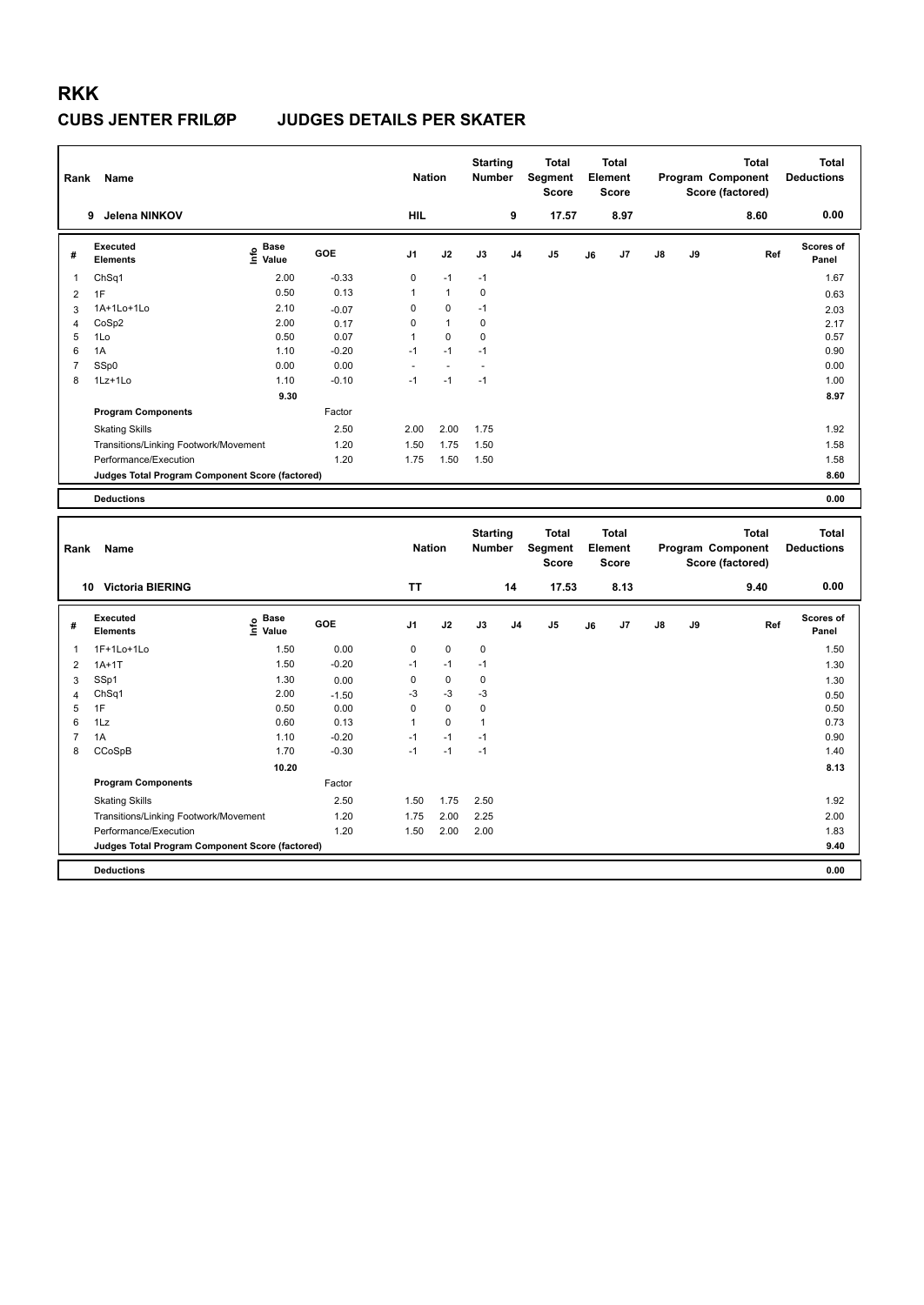| Rank                | Name                                            |                            |                 | <b>Nation</b>       |                          | <b>Starting</b><br><b>Number</b> |                | <b>Total</b><br>Segment<br><b>Score</b> |    | <b>Total</b><br>Element<br><b>Score</b> |    |    | <b>Total</b><br>Program Component<br>Score (factored) | <b>Total</b><br><b>Deductions</b> |
|---------------------|-------------------------------------------------|----------------------------|-----------------|---------------------|--------------------------|----------------------------------|----------------|-----------------------------------------|----|-----------------------------------------|----|----|-------------------------------------------------------|-----------------------------------|
|                     | 9 Jelena NINKOV                                 |                            |                 | <b>HIL</b>          |                          |                                  | 9              | 17.57                                   |    | 8.97                                    |    |    | 8.60                                                  | 0.00                              |
| #                   | <b>Executed</b><br><b>Elements</b>              | e Base<br>E Value<br>Value | GOE             | J1                  | J2                       | J3                               | J <sub>4</sub> | J <sub>5</sub>                          | J6 | J7                                      | J8 | J9 | Ref                                                   | Scores of<br>Panel                |
| -1                  | ChSq1                                           | 2.00                       | $-0.33$         | $\mathsf 0$         | $-1$                     | $-1$                             |                |                                         |    |                                         |    |    |                                                       | 1.67                              |
| $\overline{2}$      | 1F                                              | 0.50                       | 0.13            | $\mathbf{1}$        | 1                        | 0                                |                |                                         |    |                                         |    |    |                                                       | 0.63                              |
| 3                   | 1A+1Lo+1Lo                                      | 2.10                       | $-0.07$         | $\mathsf 0$         | 0                        | $-1$                             |                |                                         |    |                                         |    |    |                                                       | 2.03                              |
| $\overline{4}$      | CoSp2                                           | 2.00                       | 0.17            | 0                   | $\mathbf{1}$             | 0                                |                |                                         |    |                                         |    |    |                                                       | 2.17                              |
| 5                   | 1Lo                                             | 0.50                       | 0.07            | $\mathbf{1}$        | 0                        | 0                                |                |                                         |    |                                         |    |    |                                                       | 0.57                              |
| 6                   | 1A                                              | 1.10                       | $-0.20$         | $-1$                | $-1$                     | $-1$                             |                |                                         |    |                                         |    |    |                                                       | 0.90                              |
| $\overline{7}$      | SSp0                                            | 0.00                       | 0.00            |                     | $\overline{\phantom{a}}$ | $\overline{a}$                   |                |                                         |    |                                         |    |    |                                                       | 0.00                              |
| 8                   | 1Lz+1Lo                                         | 1.10                       | $-0.10$         | $-1$                | $-1$                     | $-1$                             |                |                                         |    |                                         |    |    |                                                       | 1.00                              |
|                     |                                                 | 9.30                       |                 |                     |                          |                                  |                |                                         |    |                                         |    |    |                                                       | 8.97                              |
|                     | <b>Program Components</b>                       |                            | Factor          |                     |                          |                                  |                |                                         |    |                                         |    |    |                                                       |                                   |
|                     | <b>Skating Skills</b>                           |                            | 2.50            | 2.00                | 2.00                     | 1.75                             |                |                                         |    |                                         |    |    |                                                       | 1.92                              |
|                     | Transitions/Linking Footwork/Movement           |                            | 1.20            | 1.50                | 1.75                     | 1.50                             |                |                                         |    |                                         |    |    |                                                       | 1.58                              |
|                     | Performance/Execution                           |                            | 1.20            | 1.75                | 1.50                     | 1.50                             |                |                                         |    |                                         |    |    |                                                       | 1.58                              |
|                     | Judges Total Program Component Score (factored) |                            |                 |                     |                          |                                  |                |                                         |    |                                         |    |    |                                                       | 8.60                              |
|                     | <b>Deductions</b>                               |                            |                 |                     |                          |                                  |                |                                         |    |                                         |    |    |                                                       | 0.00                              |
|                     |                                                 |                            |                 |                     |                          |                                  |                |                                         |    |                                         |    |    |                                                       |                                   |
|                     |                                                 |                            |                 |                     |                          |                                  |                |                                         |    |                                         |    |    |                                                       |                                   |
| Rank                | Name                                            |                            |                 | <b>Nation</b>       |                          | <b>Starting</b><br>Number        |                | <b>Total</b><br>Segment<br><b>Score</b> |    | <b>Total</b><br>Element<br><b>Score</b> |    |    | <b>Total</b><br>Program Component<br>Score (factored) | <b>Total</b><br><b>Deductions</b> |
|                     | 10 Victoria BIERING                             |                            |                 | <b>TT</b>           |                          |                                  | 14             | 17.53                                   |    | 8.13                                    |    |    | 9.40                                                  | 0.00                              |
| #                   | <b>Executed</b><br><b>Elements</b>              | e Base<br>E Value          | GOE             | J <sub>1</sub>      | J2                       | J3                               | J <sub>4</sub> | J <sub>5</sub>                          | J6 | J7                                      | J8 | J9 | Ref                                                   | <b>Scores of</b><br>Panel         |
|                     |                                                 |                            |                 |                     |                          |                                  |                |                                         |    |                                         |    |    |                                                       |                                   |
| $\mathbf{1}$        | 1F+1Lo+1Lo                                      | 1.50                       | 0.00            | 0                   | 0                        | 0                                |                |                                         |    |                                         |    |    |                                                       | 1.50                              |
| $\overline{2}$      | $1A+1T$                                         | 1.50                       | $-0.20$         | $-1$                | $-1$<br>$\mathbf 0$      | $-1$                             |                |                                         |    |                                         |    |    |                                                       | 1.30                              |
| 3                   | SSp1                                            | 1.30                       | 0.00            | $\mathsf 0$         |                          | $\pmb{0}$                        |                |                                         |    |                                         |    |    |                                                       | 1.30                              |
| $\overline{4}$<br>5 | Ch <sub>Sq1</sub><br>1F                         | 2.00<br>0.50               | $-1.50$<br>0.00 | $-3$<br>$\mathsf 0$ | $-3$<br>0                | -3<br>0                          |                |                                         |    |                                         |    |    |                                                       | 0.50<br>0.50                      |
| 6                   | 1Lz                                             | 0.60                       | 0.13            | $\mathbf{1}$        | $\mathbf 0$              | $\mathbf{1}$                     |                |                                         |    |                                         |    |    |                                                       | 0.73                              |
| $\overline{7}$      | 1A                                              | 1.10                       | $-0.20$         | $-1$                | $-1$                     | $-1$                             |                |                                         |    |                                         |    |    |                                                       | 0.90                              |
| 8                   | CCoSpB                                          | 1.70                       | $-0.30$         | $-1$                | $-1$                     | $-1$                             |                |                                         |    |                                         |    |    |                                                       | 1.40                              |
|                     |                                                 | 10.20                      |                 |                     |                          |                                  |                |                                         |    |                                         |    |    |                                                       | 8.13                              |
|                     | <b>Program Components</b>                       |                            | Factor          |                     |                          |                                  |                |                                         |    |                                         |    |    |                                                       |                                   |
|                     | <b>Skating Skills</b>                           |                            | 2.50            | 1.50                | 1.75                     | 2.50                             |                |                                         |    |                                         |    |    |                                                       | 1.92                              |
|                     | Transitions/Linking Footwork/Movement           |                            | 1.20            | 1.75                | 2.00                     | 2.25                             |                |                                         |    |                                         |    |    |                                                       | 2.00                              |
|                     | Performance/Execution                           |                            | 1.20            | 1.50                | 2.00                     | 2.00                             |                |                                         |    |                                         |    |    |                                                       | 1.83                              |
|                     | Judges Total Program Component Score (factored) |                            |                 |                     |                          |                                  |                |                                         |    |                                         |    |    |                                                       | 9.40                              |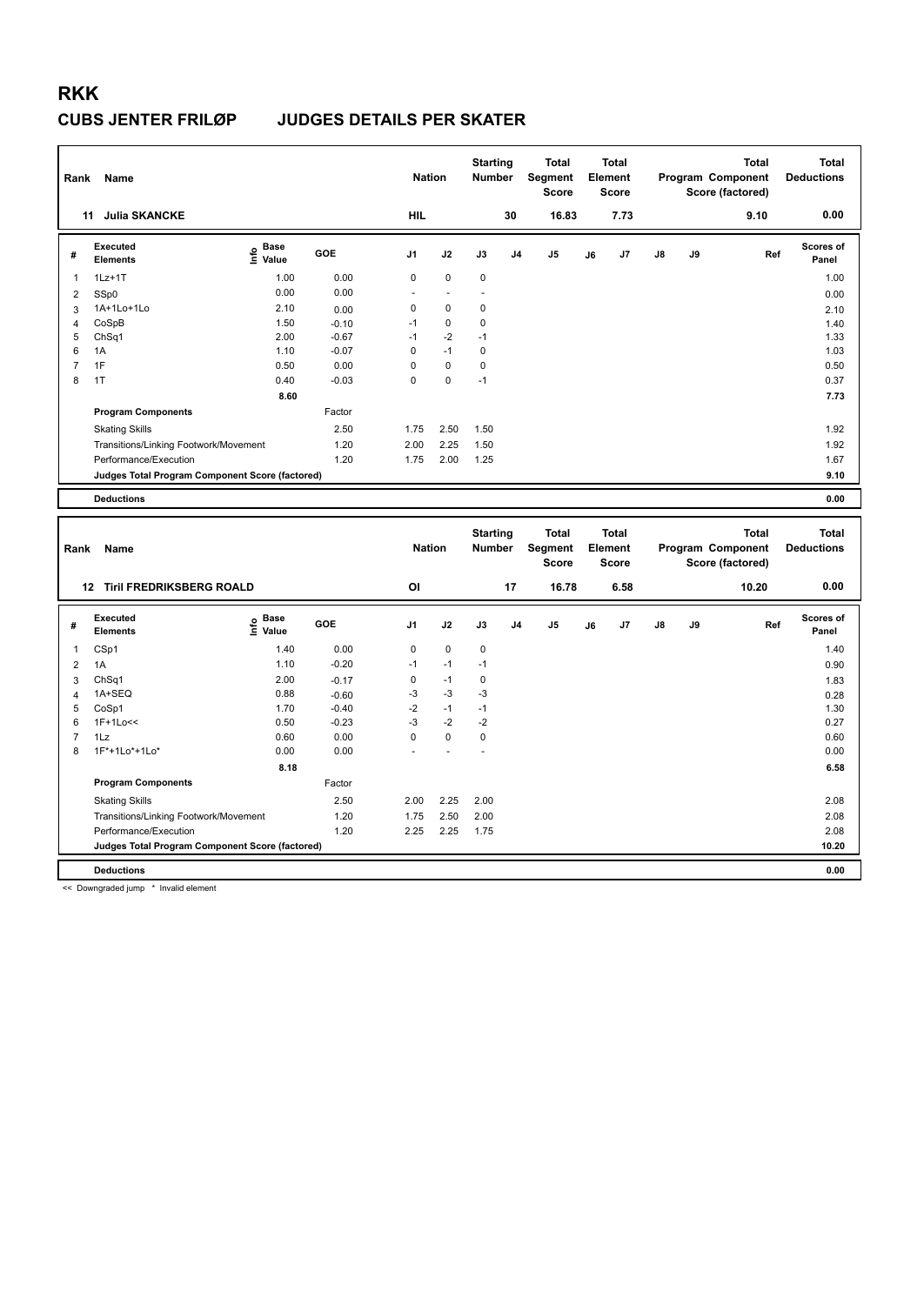| Rank                | Name                                            |                    |                    | <b>Nation</b>              |                   | <b>Starting</b><br>Number |                | <b>Total</b><br>Segment<br><b>Score</b> |    | <b>Total</b><br>Element<br><b>Score</b> |    |    | <b>Total</b><br>Program Component<br>Score (factored) | <b>Total</b><br><b>Deductions</b> |
|---------------------|-------------------------------------------------|--------------------|--------------------|----------------------------|-------------------|---------------------------|----------------|-----------------------------------------|----|-----------------------------------------|----|----|-------------------------------------------------------|-----------------------------------|
|                     | 11 Julia SKANCKE                                |                    |                    | <b>HIL</b>                 |                   |                           | 30             | 16.83                                   |    | 7.73                                    |    |    | 9.10                                                  | 0.00                              |
| #                   | <b>Executed</b><br><b>Elements</b>              | e Base<br>E Value  | GOE                | J1                         | J2                | J3                        | J <sub>4</sub> | J5                                      | J6 | J7                                      | J8 | J9 | Ref                                                   | Scores of<br>Panel                |
| -1                  | $1Lz+1T$                                        | 1.00               | 0.00               | 0                          | 0                 | $\mathbf 0$               |                |                                         |    |                                         |    |    |                                                       | 1.00                              |
| $\overline{2}$      | SSp0                                            | 0.00               | 0.00               | $\overline{a}$             | ÷,                | $\overline{a}$            |                |                                         |    |                                         |    |    |                                                       | 0.00                              |
| 3                   | 1A+1Lo+1Lo                                      | 2.10               | 0.00               | 0                          | 0                 | 0                         |                |                                         |    |                                         |    |    |                                                       | 2.10                              |
| $\overline{4}$      | CoSpB                                           | 1.50               | $-0.10$            | $-1$                       | 0                 | 0                         |                |                                         |    |                                         |    |    |                                                       | 1.40                              |
| 5                   | Ch <sub>Sq1</sub>                               | 2.00               | $-0.67$            | $-1$                       | $-2$              | $-1$                      |                |                                         |    |                                         |    |    |                                                       | 1.33                              |
| 6                   | 1A<br>1F                                        | 1.10<br>0.50       | $-0.07$            | $\mathsf 0$<br>$\mathbf 0$ | $-1$<br>$\pmb{0}$ | 0<br>$\pmb{0}$            |                |                                         |    |                                         |    |    |                                                       | 1.03                              |
| $\overline{7}$<br>8 | 1T                                              | 0.40               | 0.00<br>$-0.03$    | $\Omega$                   | $\mathbf 0$       | $-1$                      |                |                                         |    |                                         |    |    |                                                       | 0.50<br>0.37                      |
|                     |                                                 | 8.60               |                    |                            |                   |                           |                |                                         |    |                                         |    |    |                                                       |                                   |
|                     |                                                 |                    | Factor             |                            |                   |                           |                |                                         |    |                                         |    |    |                                                       | 7.73                              |
|                     | <b>Program Components</b>                       |                    |                    |                            |                   |                           |                |                                         |    |                                         |    |    |                                                       |                                   |
|                     | <b>Skating Skills</b>                           |                    | 2.50               | 1.75                       | 2.50              | 1.50                      |                |                                         |    |                                         |    |    |                                                       | 1.92                              |
|                     | Transitions/Linking Footwork/Movement           |                    | 1.20               | 2.00                       | 2.25              | 1.50                      |                |                                         |    |                                         |    |    |                                                       | 1.92                              |
|                     | Performance/Execution                           |                    | 1.20               | 1.75                       | 2.00              | 1.25                      |                |                                         |    |                                         |    |    |                                                       | 1.67                              |
|                     | Judges Total Program Component Score (factored) |                    |                    |                            |                   |                           |                |                                         |    |                                         |    |    |                                                       | 9.10                              |
|                     | <b>Deductions</b>                               |                    |                    |                            |                   |                           |                |                                         |    |                                         |    |    |                                                       | 0.00                              |
|                     |                                                 |                    |                    |                            |                   |                           |                |                                         |    |                                         |    |    |                                                       |                                   |
| Rank                | Name                                            |                    |                    | <b>Nation</b>              |                   | <b>Starting</b><br>Number |                | <b>Total</b><br>Segment<br><b>Score</b> |    | <b>Total</b><br>Element<br><b>Score</b> |    |    | <b>Total</b><br>Program Component<br>Score (factored) | <b>Total</b><br><b>Deductions</b> |
|                     | 12 Tiril FREDRIKSBERG ROALD                     |                    |                    | OI                         |                   |                           | 17             | 16.78                                   |    | 6.58                                    |    |    | 10.20                                                 | 0.00                              |
| #                   | <b>Executed</b><br><b>Elements</b>              | Base<br>۴<br>Value | <b>GOE</b>         | J <sub>1</sub>             | J2                | J3                        | J <sub>4</sub> | J <sub>5</sub>                          | J6 | J7                                      | J8 | J9 | Ref                                                   | <b>Scores of</b><br>Panel         |
| -1                  |                                                 |                    | 0.00               | $\mathbf 0$                | $\mathbf 0$       | 0                         |                |                                         |    |                                         |    |    |                                                       |                                   |
|                     | CSp1                                            | 1.40<br>1.10       | $-0.20$            | $-1$                       | $-1$              | $-1$                      |                |                                         |    |                                         |    |    |                                                       | 1.40                              |
| $\overline{2}$      | 1A                                              | 2.00               |                    | $\mathsf 0$                | $-1$              | $\pmb{0}$                 |                |                                         |    |                                         |    |    |                                                       | 0.90                              |
| 3<br>$\overline{4}$ | ChSq1<br>1A+SEQ                                 | 0.88               | $-0.17$<br>$-0.60$ | -3                         | $-3$              | $-3$                      |                |                                         |    |                                         |    |    |                                                       | 1.83<br>0.28                      |
| 5                   | CoSp1                                           | 1.70               | $-0.40$            | $-2$                       | $-1$              | $-1$                      |                |                                         |    |                                         |    |    |                                                       | 1.30                              |
| 6                   | 1F+1Lo<<                                        | 0.50               | $-0.23$            | $-3$                       | $-2$              | $-2$                      |                |                                         |    |                                         |    |    |                                                       | 0.27                              |
| $\overline{7}$      | 1Lz                                             | 0.60               | 0.00               | $\mathbf 0$                | $\mathbf 0$       | $\mathbf 0$               |                |                                         |    |                                         |    |    |                                                       | 0.60                              |
| 8                   | 1F*+1Lo*+1Lo*                                   | 0.00               | 0.00               |                            |                   |                           |                |                                         |    |                                         |    |    |                                                       | 0.00                              |
|                     |                                                 | 8.18               |                    |                            |                   |                           |                |                                         |    |                                         |    |    |                                                       | 6.58                              |
|                     | <b>Program Components</b>                       |                    | Factor             |                            |                   |                           |                |                                         |    |                                         |    |    |                                                       |                                   |
|                     | <b>Skating Skills</b>                           |                    | 2.50               | 2.00                       | 2.25              | 2.00                      |                |                                         |    |                                         |    |    |                                                       | 2.08                              |
|                     | Transitions/Linking Footwork/Movement           |                    | 1.20               | 1.75                       | 2.50              | 2.00                      |                |                                         |    |                                         |    |    |                                                       | 2.08                              |
|                     | Performance/Execution                           |                    | 1.20               | 2.25                       | 2.25              | 1.75                      |                |                                         |    |                                         |    |    |                                                       | 2.08                              |
|                     | Judges Total Program Component Score (factored) |                    |                    |                            |                   |                           |                |                                         |    |                                         |    |    |                                                       | 10.20                             |

<< Downgraded jump \* Invalid element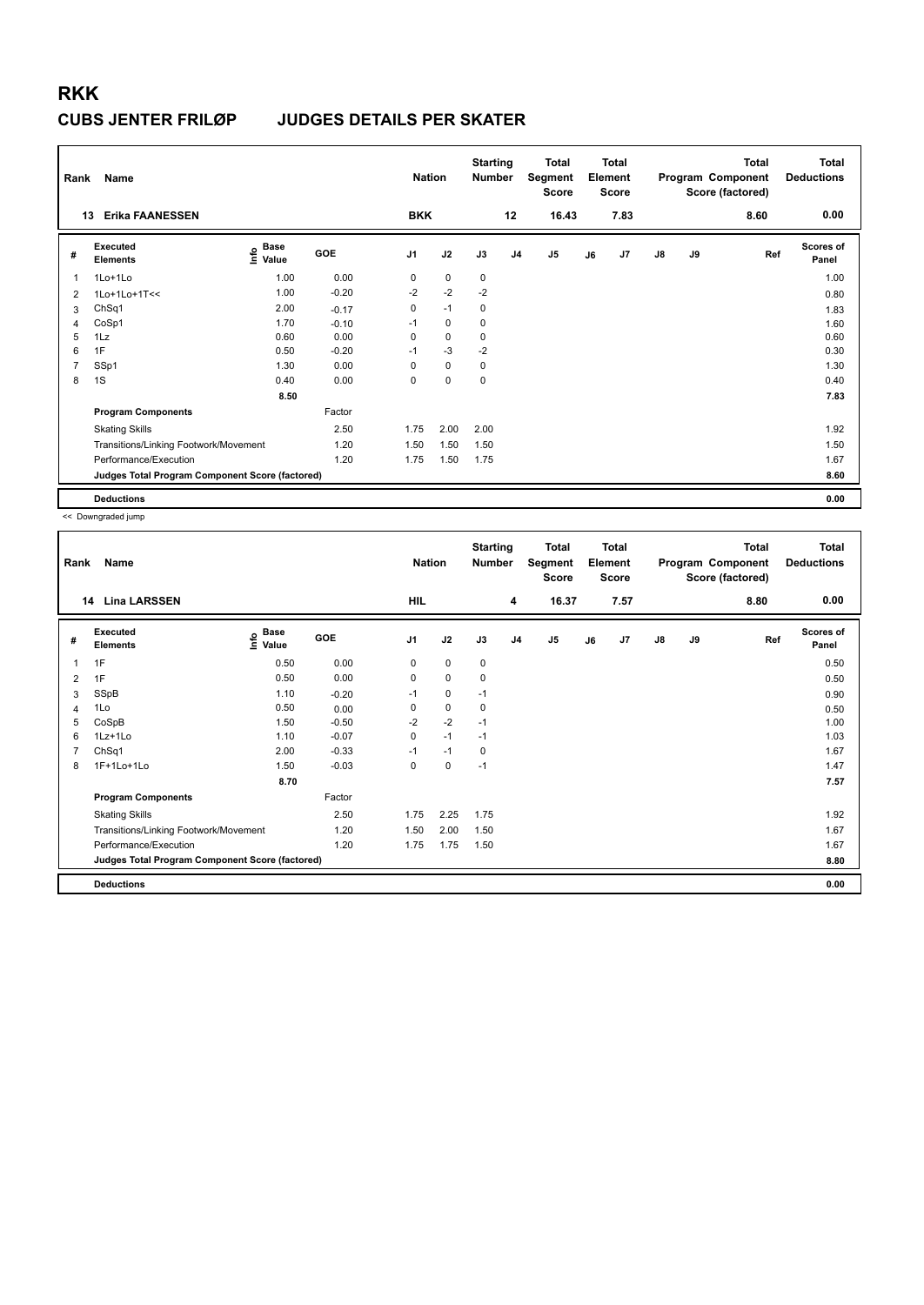| Rank | Name                                            |                                                  |         | <b>Nation</b>  |      | <b>Starting</b><br><b>Number</b> |                | Total<br>Segment<br><b>Score</b> |    | Total<br>Element<br><b>Score</b> |               |    | Total<br>Program Component<br>Score (factored) | <b>Total</b><br><b>Deductions</b> |
|------|-------------------------------------------------|--------------------------------------------------|---------|----------------|------|----------------------------------|----------------|----------------------------------|----|----------------------------------|---------------|----|------------------------------------------------|-----------------------------------|
|      | <b>Erika FAANESSEN</b><br>13                    |                                                  |         | <b>BKK</b>     |      |                                  | 12             | 16.43                            |    | 7.83                             |               |    | 8.60                                           | 0.00                              |
| #    | <b>Executed</b><br><b>Elements</b>              | <b>Base</b><br>$\mathop{\mathsf{Info}}$<br>Value | GOE     | J <sub>1</sub> | J2   | J3                               | J <sub>4</sub> | J5                               | J6 | J7                               | $\mathsf{J}8$ | J9 | Ref                                            | <b>Scores of</b><br>Panel         |
| 1    | 1Lo+1Lo                                         | 1.00                                             | 0.00    | 0              | 0    | $\mathbf 0$                      |                |                                  |    |                                  |               |    |                                                | 1.00                              |
| 2    | 1Lo+1Lo+1T<<                                    | 1.00                                             | $-0.20$ | $-2$           | $-2$ | $-2$                             |                |                                  |    |                                  |               |    |                                                | 0.80                              |
| 3    | ChSq1                                           | 2.00                                             | $-0.17$ | $\pmb{0}$      | $-1$ | 0                                |                |                                  |    |                                  |               |    |                                                | 1.83                              |
| 4    | CoSp1                                           | 1.70                                             | $-0.10$ | $-1$           | 0    | $\mathbf 0$                      |                |                                  |    |                                  |               |    |                                                | 1.60                              |
| 5    | 1Lz                                             | 0.60                                             | 0.00    | 0              | 0    | $\mathbf 0$                      |                |                                  |    |                                  |               |    |                                                | 0.60                              |
| 6    | 1F                                              | 0.50                                             | $-0.20$ | $-1$           | $-3$ | $-2$                             |                |                                  |    |                                  |               |    |                                                | 0.30                              |
|      | SSp1                                            | 1.30                                             | 0.00    | 0              | 0    | 0                                |                |                                  |    |                                  |               |    |                                                | 1.30                              |
| 8    | 1S                                              | 0.40                                             | 0.00    | $\Omega$       | 0    | $\mathbf 0$                      |                |                                  |    |                                  |               |    |                                                | 0.40                              |
|      |                                                 | 8.50                                             |         |                |      |                                  |                |                                  |    |                                  |               |    |                                                | 7.83                              |
|      | <b>Program Components</b>                       |                                                  | Factor  |                |      |                                  |                |                                  |    |                                  |               |    |                                                |                                   |
|      | <b>Skating Skills</b>                           |                                                  | 2.50    | 1.75           | 2.00 | 2.00                             |                |                                  |    |                                  |               |    |                                                | 1.92                              |
|      | Transitions/Linking Footwork/Movement           |                                                  | 1.20    | 1.50           | 1.50 | 1.50                             |                |                                  |    |                                  |               |    |                                                | 1.50                              |
|      | Performance/Execution                           |                                                  | 1.20    | 1.75           | 1.50 | 1.75                             |                |                                  |    |                                  |               |    |                                                | 1.67                              |
|      | Judges Total Program Component Score (factored) |                                                  |         |                |      |                                  |                |                                  |    |                                  |               |    |                                                | 8.60                              |
|      | <b>Deductions</b>                               |                                                  |         |                |      |                                  |                |                                  |    |                                  |               |    |                                                | 0.00                              |

| Rank | Name                                            |                   |         | <b>Nation</b>  |             | <b>Starting</b><br><b>Number</b> |                | <b>Total</b><br>Segment<br><b>Score</b> |    | <b>Total</b><br>Element<br><b>Score</b> |               |    | <b>Total</b><br>Program Component<br>Score (factored) | <b>Total</b><br><b>Deductions</b> |
|------|-------------------------------------------------|-------------------|---------|----------------|-------------|----------------------------------|----------------|-----------------------------------------|----|-----------------------------------------|---------------|----|-------------------------------------------------------|-----------------------------------|
| 14   | <b>Lina LARSSEN</b>                             |                   |         | <b>HIL</b>     |             |                                  | 4              | 16.37                                   |    | 7.57                                    |               |    | 8.80                                                  | 0.00                              |
| #    | Executed<br><b>Elements</b>                     | e Base<br>⊑ Value | GOE     | J <sub>1</sub> | J2          | J3                               | J <sub>4</sub> | J <sub>5</sub>                          | J6 | J7                                      | $\mathsf{J}8$ | J9 | Ref                                                   | <b>Scores of</b><br>Panel         |
| 1    | 1F                                              | 0.50              | 0.00    | 0              | 0           | 0                                |                |                                         |    |                                         |               |    |                                                       | 0.50                              |
| 2    | 1F                                              | 0.50              | 0.00    | 0              | $\mathbf 0$ | 0                                |                |                                         |    |                                         |               |    |                                                       | 0.50                              |
| 3    | SSpB                                            | 1.10              | $-0.20$ | $-1$           | 0           | $-1$                             |                |                                         |    |                                         |               |    |                                                       | 0.90                              |
| 4    | 1Lo                                             | 0.50              | 0.00    | 0              | 0           | 0                                |                |                                         |    |                                         |               |    |                                                       | 0.50                              |
| 5    | CoSpB                                           | 1.50              | $-0.50$ | $-2$           | $-2$        | $-1$                             |                |                                         |    |                                         |               |    |                                                       | 1.00                              |
| 6    | $1Lz+1Lo$                                       | 1.10              | $-0.07$ | 0              | $-1$        | $-1$                             |                |                                         |    |                                         |               |    |                                                       | 1.03                              |
| 7    | ChSq1                                           | 2.00              | $-0.33$ | $-1$           | $-1$        | 0                                |                |                                         |    |                                         |               |    |                                                       | 1.67                              |
| 8    | 1F+1Lo+1Lo                                      | 1.50              | $-0.03$ | 0              | 0           | $-1$                             |                |                                         |    |                                         |               |    |                                                       | 1.47                              |
|      |                                                 | 8.70              |         |                |             |                                  |                |                                         |    |                                         |               |    |                                                       | 7.57                              |
|      | <b>Program Components</b>                       |                   | Factor  |                |             |                                  |                |                                         |    |                                         |               |    |                                                       |                                   |
|      | <b>Skating Skills</b>                           |                   | 2.50    | 1.75           | 2.25        | 1.75                             |                |                                         |    |                                         |               |    |                                                       | 1.92                              |
|      | Transitions/Linking Footwork/Movement           |                   | 1.20    | 1.50           | 2.00        | 1.50                             |                |                                         |    |                                         |               |    |                                                       | 1.67                              |
|      | Performance/Execution                           |                   | 1.20    | 1.75           | 1.75        | 1.50                             |                |                                         |    |                                         |               |    |                                                       | 1.67                              |
|      | Judges Total Program Component Score (factored) |                   |         |                |             |                                  |                |                                         |    |                                         |               |    |                                                       | 8.80                              |
|      | <b>Deductions</b>                               |                   |         |                |             |                                  |                |                                         |    |                                         |               |    |                                                       | 0.00                              |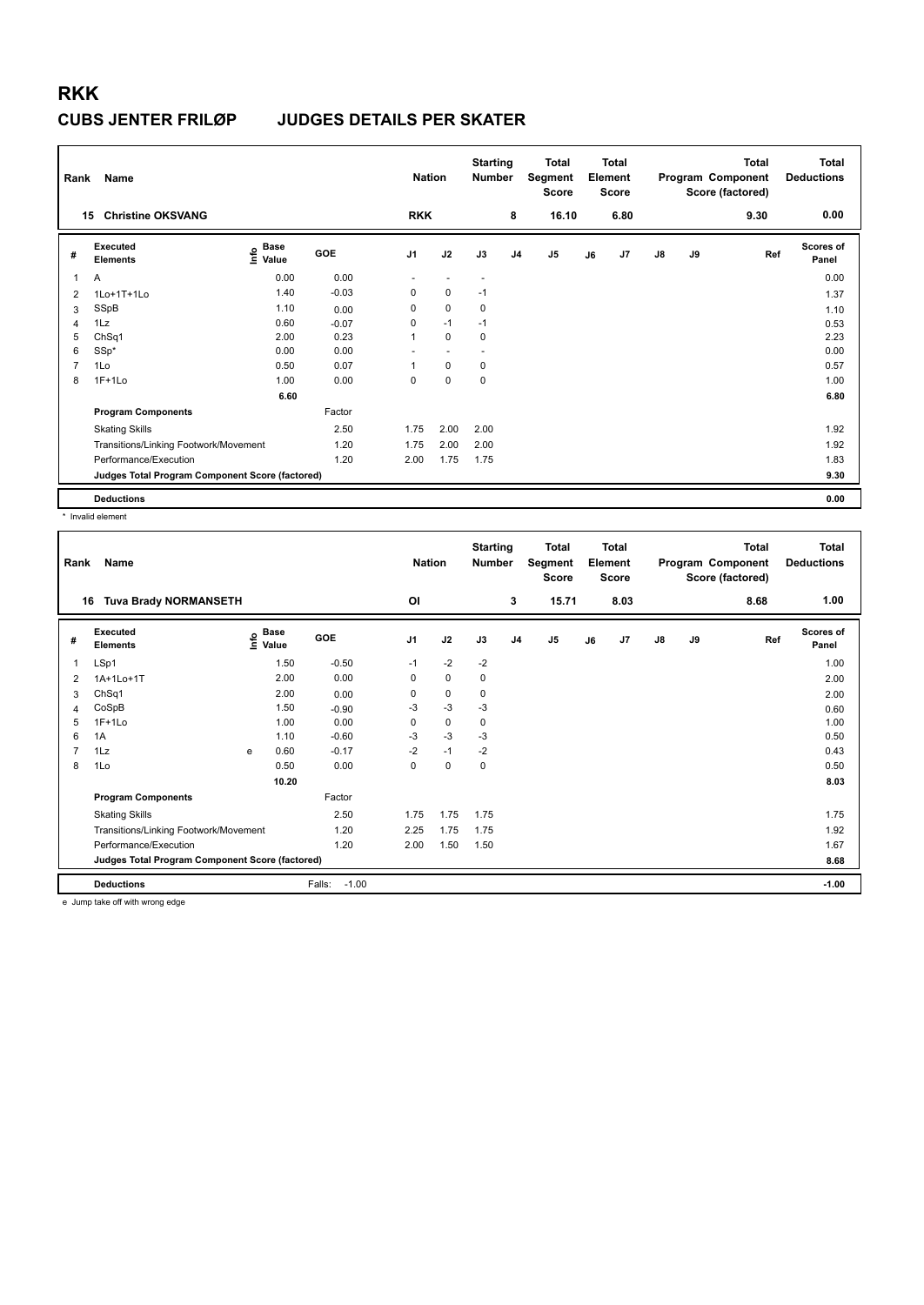| Rank           | Name                                            |                                    |         | <b>Nation</b>  |                          | <b>Starting</b><br><b>Number</b> |                | Total<br>Segment<br><b>Score</b> |    | Total<br>Element<br><b>Score</b> |               |    | <b>Total</b><br>Program Component<br>Score (factored) | <b>Total</b><br><b>Deductions</b> |
|----------------|-------------------------------------------------|------------------------------------|---------|----------------|--------------------------|----------------------------------|----------------|----------------------------------|----|----------------------------------|---------------|----|-------------------------------------------------------|-----------------------------------|
| 15             | <b>Christine OKSVANG</b>                        |                                    |         | <b>RKK</b>     |                          |                                  | 8              | 16.10                            |    | 6.80                             |               |    | 9.30                                                  | 0.00                              |
| #              | Executed<br><b>Elements</b>                     | <b>Base</b><br>$\frac{6}{5}$ Value | GOE     | J <sub>1</sub> | J2                       | J3                               | J <sub>4</sub> | J <sub>5</sub>                   | J6 | J7                               | $\mathsf{J}8$ | J9 | Ref                                                   | <b>Scores of</b><br>Panel         |
| 1              | A                                               | 0.00                               | 0.00    | ٠              | ٠                        | $\sim$                           |                |                                  |    |                                  |               |    |                                                       | 0.00                              |
| $\overline{2}$ | 1Lo+1T+1Lo                                      | 1.40                               | $-0.03$ | 0              | $\mathbf 0$              | $-1$                             |                |                                  |    |                                  |               |    |                                                       | 1.37                              |
| 3              | SSpB                                            | 1.10                               | 0.00    | 0              | $\pmb{0}$                | $\mathbf 0$                      |                |                                  |    |                                  |               |    |                                                       | 1.10                              |
| $\overline{4}$ | 1Lz                                             | 0.60                               | $-0.07$ | 0              | $-1$                     | $-1$                             |                |                                  |    |                                  |               |    |                                                       | 0.53                              |
| 5              | ChSq1                                           | 2.00                               | 0.23    | 1              | $\pmb{0}$                | $\pmb{0}$                        |                |                                  |    |                                  |               |    |                                                       | 2.23                              |
| 6              | SSp*                                            | 0.00                               | 0.00    | ٠              | $\overline{\phantom{a}}$ | ٠                                |                |                                  |    |                                  |               |    |                                                       | 0.00                              |
| 7              | 1Lo                                             | 0.50                               | 0.07    |                | $\mathbf 0$              | 0                                |                |                                  |    |                                  |               |    |                                                       | 0.57                              |
| 8              | $1F+1Lo$                                        | 1.00                               | 0.00    | 0              | $\mathbf 0$              | $\mathbf 0$                      |                |                                  |    |                                  |               |    |                                                       | 1.00                              |
|                |                                                 | 6.60                               |         |                |                          |                                  |                |                                  |    |                                  |               |    |                                                       | 6.80                              |
|                | <b>Program Components</b>                       |                                    | Factor  |                |                          |                                  |                |                                  |    |                                  |               |    |                                                       |                                   |
|                | <b>Skating Skills</b>                           |                                    | 2.50    | 1.75           | 2.00                     | 2.00                             |                |                                  |    |                                  |               |    |                                                       | 1.92                              |
|                | Transitions/Linking Footwork/Movement           |                                    | 1.20    | 1.75           | 2.00                     | 2.00                             |                |                                  |    |                                  |               |    |                                                       | 1.92                              |
|                | Performance/Execution                           |                                    | 1.20    | 2.00           | 1.75                     | 1.75                             |                |                                  |    |                                  |               |    |                                                       | 1.83                              |
|                | Judges Total Program Component Score (factored) |                                    |         |                |                          |                                  |                |                                  |    |                                  |               |    |                                                       | 9.30                              |
|                | <b>Deductions</b>                               |                                    |         |                |                          |                                  |                |                                  |    |                                  |               |    |                                                       | 0.00                              |

\* Invalid element

| Rank           | <b>Name</b>                                     |                                  |                   | <b>Nation</b>  |             | <b>Starting</b><br><b>Number</b> |                | <b>Total</b><br>Segment<br><b>Score</b> |    | <b>Total</b><br>Element<br><b>Score</b> |               |    | <b>Total</b><br>Program Component<br>Score (factored) | Total<br><b>Deductions</b> |
|----------------|-------------------------------------------------|----------------------------------|-------------------|----------------|-------------|----------------------------------|----------------|-----------------------------------------|----|-----------------------------------------|---------------|----|-------------------------------------------------------|----------------------------|
|                | <b>Tuva Brady NORMANSETH</b><br>16              |                                  |                   | OI             |             |                                  | 3              | 15.71                                   |    | 8.03                                    |               |    | 8.68                                                  | 1.00                       |
| #              | Executed<br><b>Elements</b>                     | <b>Base</b><br>e Base<br>⊆ Value | GOE               | J <sub>1</sub> | J2          | J3                               | J <sub>4</sub> | J <sub>5</sub>                          | J6 | J7                                      | $\mathsf{J}8$ | J9 | Ref                                                   | <b>Scores of</b><br>Panel  |
| 1              | LSp1                                            | 1.50                             | $-0.50$           | $-1$           | $-2$        | $-2$                             |                |                                         |    |                                         |               |    |                                                       | 1.00                       |
| 2              | 1A+1Lo+1T                                       | 2.00                             | 0.00              | 0              | $\mathbf 0$ | 0                                |                |                                         |    |                                         |               |    |                                                       | 2.00                       |
| 3              | ChSq1                                           | 2.00                             | 0.00              | 0              | $\pmb{0}$   | 0                                |                |                                         |    |                                         |               |    |                                                       | 2.00                       |
| 4              | CoSpB                                           | 1.50                             | $-0.90$           | $-3$           | $-3$        | $-3$                             |                |                                         |    |                                         |               |    |                                                       | 0.60                       |
| 5              | $1F+1Lo$                                        | 1.00                             | 0.00              | 0              | $\pmb{0}$   | 0                                |                |                                         |    |                                         |               |    |                                                       | 1.00                       |
| 6              | 1A                                              | 1.10                             | $-0.60$           | -3             | $-3$        | -3                               |                |                                         |    |                                         |               |    |                                                       | 0.50                       |
| $\overline{7}$ | 1Lz                                             | 0.60<br>e                        | $-0.17$           | $-2$           | $-1$        | $-2$                             |                |                                         |    |                                         |               |    |                                                       | 0.43                       |
| 8              | 1Lo                                             | 0.50                             | 0.00              | 0              | $\pmb{0}$   | 0                                |                |                                         |    |                                         |               |    |                                                       | 0.50                       |
|                |                                                 | 10.20                            |                   |                |             |                                  |                |                                         |    |                                         |               |    |                                                       | 8.03                       |
|                | <b>Program Components</b>                       |                                  | Factor            |                |             |                                  |                |                                         |    |                                         |               |    |                                                       |                            |
|                | <b>Skating Skills</b>                           |                                  | 2.50              | 1.75           | 1.75        | 1.75                             |                |                                         |    |                                         |               |    |                                                       | 1.75                       |
|                | Transitions/Linking Footwork/Movement           |                                  | 1.20              | 2.25           | 1.75        | 1.75                             |                |                                         |    |                                         |               |    |                                                       | 1.92                       |
|                | Performance/Execution                           |                                  | 1.20              | 2.00           | 1.50        | 1.50                             |                |                                         |    |                                         |               |    |                                                       | 1.67                       |
|                | Judges Total Program Component Score (factored) |                                  |                   |                |             |                                  |                |                                         |    |                                         |               |    |                                                       | 8.68                       |
|                | <b>Deductions</b>                               |                                  | Falls:<br>$-1.00$ |                |             |                                  |                |                                         |    |                                         |               |    |                                                       | $-1.00$                    |

e Jump take off with wrong edge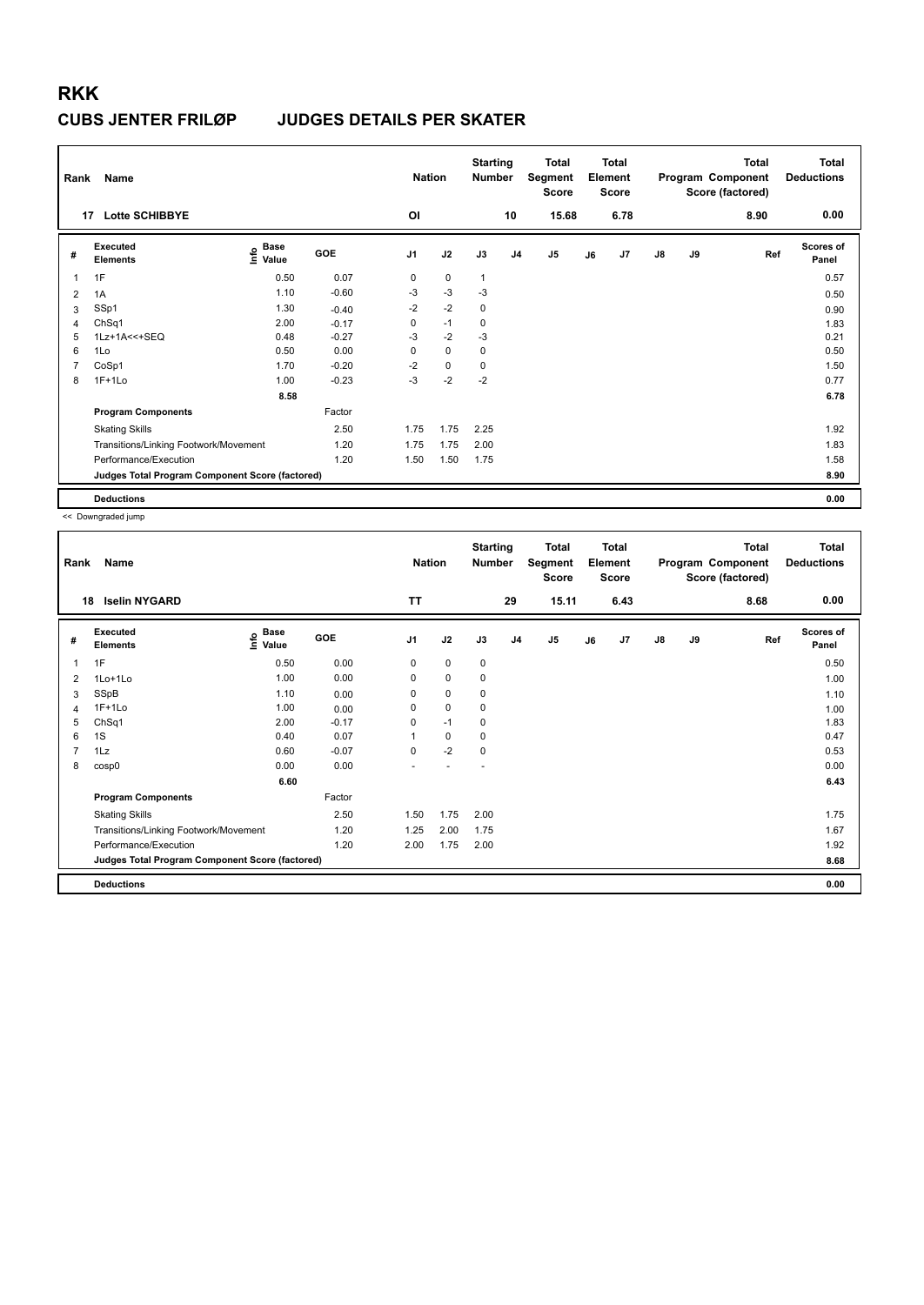| Rank           | Name                                            |                                    |            | <b>Nation</b>  |      | <b>Starting</b><br>Number |                | Total<br>Segment<br><b>Score</b> |    | Total<br>Element<br><b>Score</b> |               |    | <b>Total</b><br>Program Component<br>Score (factored) | Total<br><b>Deductions</b> |
|----------------|-------------------------------------------------|------------------------------------|------------|----------------|------|---------------------------|----------------|----------------------------------|----|----------------------------------|---------------|----|-------------------------------------------------------|----------------------------|
| 17             | <b>Lotte SCHIBBYE</b>                           |                                    |            | <b>OI</b>      |      |                           | 10             | 15.68                            |    | 6.78                             |               |    | 8.90                                                  | 0.00                       |
| #              | Executed<br><b>Elements</b>                     | <b>Base</b><br>$\frac{6}{5}$ Value | <b>GOE</b> | J <sub>1</sub> | J2   | J3                        | J <sub>4</sub> | J <sub>5</sub>                   | J6 | J <sub>7</sub>                   | $\mathsf{J}8$ | J9 | Ref                                                   | <b>Scores of</b><br>Panel  |
| 1              | 1F                                              | 0.50                               | 0.07       | 0              | 0    | 1                         |                |                                  |    |                                  |               |    |                                                       | 0.57                       |
| 2              | 1A                                              | 1.10                               | $-0.60$    | -3             | $-3$ | $-3$                      |                |                                  |    |                                  |               |    |                                                       | 0.50                       |
| 3              | SSp1                                            | 1.30                               | $-0.40$    | $-2$           | $-2$ | $\mathbf 0$               |                |                                  |    |                                  |               |    |                                                       | 0.90                       |
| $\overline{4}$ | ChSq1                                           | 2.00                               | $-0.17$    | 0              | $-1$ | 0                         |                |                                  |    |                                  |               |    |                                                       | 1.83                       |
| 5              | 1Lz+1A<<+SEQ                                    | 0.48                               | $-0.27$    | -3             | $-2$ | -3                        |                |                                  |    |                                  |               |    |                                                       | 0.21                       |
| 6              | 1Lo                                             | 0.50                               | 0.00       | 0              | 0    | 0                         |                |                                  |    |                                  |               |    |                                                       | 0.50                       |
| 7              | CoSp1                                           | 1.70                               | $-0.20$    | $-2$           | 0    | 0                         |                |                                  |    |                                  |               |    |                                                       | 1.50                       |
| 8              | $1F+1Lo$                                        | 1.00                               | $-0.23$    | $-3$           | $-2$ | $-2$                      |                |                                  |    |                                  |               |    |                                                       | 0.77                       |
|                |                                                 | 8.58                               |            |                |      |                           |                |                                  |    |                                  |               |    |                                                       | 6.78                       |
|                | <b>Program Components</b>                       |                                    | Factor     |                |      |                           |                |                                  |    |                                  |               |    |                                                       |                            |
|                | <b>Skating Skills</b>                           |                                    | 2.50       | 1.75           | 1.75 | 2.25                      |                |                                  |    |                                  |               |    |                                                       | 1.92                       |
|                | Transitions/Linking Footwork/Movement           |                                    | 1.20       | 1.75           | 1.75 | 2.00                      |                |                                  |    |                                  |               |    |                                                       | 1.83                       |
|                | Performance/Execution                           |                                    | 1.20       | 1.50           | 1.50 | 1.75                      |                |                                  |    |                                  |               |    |                                                       | 1.58                       |
|                | Judges Total Program Component Score (factored) |                                    |            |                |      |                           |                |                                  |    |                                  |               |    |                                                       | 8.90                       |
|                | <b>Deductions</b>                               |                                    |            |                |      |                           |                |                                  |    |                                  |               |    |                                                       | 0.00                       |

| Rank           | Name                                            |                   |         | <b>Nation</b>  |             | <b>Starting</b><br><b>Number</b> |                | <b>Total</b><br>Segment<br><b>Score</b> |    | <b>Total</b><br>Element<br><b>Score</b> |               |    | <b>Total</b><br>Program Component<br>Score (factored) | <b>Total</b><br><b>Deductions</b> |
|----------------|-------------------------------------------------|-------------------|---------|----------------|-------------|----------------------------------|----------------|-----------------------------------------|----|-----------------------------------------|---------------|----|-------------------------------------------------------|-----------------------------------|
| 18             | <b>Iselin NYGARD</b>                            |                   |         | <b>TT</b>      |             |                                  | 29             | 15.11                                   |    | 6.43                                    |               |    | 8.68                                                  | 0.00                              |
| #              | Executed<br><b>Elements</b>                     | e Base<br>⊆ Value | GOE     | J <sub>1</sub> | J2          | J3                               | J <sub>4</sub> | J <sub>5</sub>                          | J6 | J <sub>7</sub>                          | $\mathsf{J}8$ | J9 | Ref                                                   | <b>Scores of</b><br>Panel         |
| 1              | 1F                                              | 0.50              | 0.00    | 0              | $\mathbf 0$ | $\mathbf 0$                      |                |                                         |    |                                         |               |    |                                                       | 0.50                              |
| 2              | 1Lo+1Lo                                         | 1.00              | 0.00    | 0              | $\mathbf 0$ | 0                                |                |                                         |    |                                         |               |    |                                                       | 1.00                              |
| 3              | SSpB                                            | 1.10              | 0.00    | 0              | $\pmb{0}$   | 0                                |                |                                         |    |                                         |               |    |                                                       | 1.10                              |
| 4              | $1F+1Lo$                                        | 1.00              | 0.00    | 0              | 0           | 0                                |                |                                         |    |                                         |               |    |                                                       | 1.00                              |
| 5              | ChSq1                                           | 2.00              | $-0.17$ | 0              | $-1$        | 0                                |                |                                         |    |                                         |               |    |                                                       | 1.83                              |
| 6              | 1S                                              | 0.40              | 0.07    |                | $\mathbf 0$ | 0                                |                |                                         |    |                                         |               |    |                                                       | 0.47                              |
| $\overline{7}$ | 1Lz                                             | 0.60              | $-0.07$ | $\Omega$       | $-2$        | 0                                |                |                                         |    |                                         |               |    |                                                       | 0.53                              |
| 8              | cosp0                                           | 0.00              | 0.00    | ٠              |             |                                  |                |                                         |    |                                         |               |    |                                                       | 0.00                              |
|                |                                                 | 6.60              |         |                |             |                                  |                |                                         |    |                                         |               |    |                                                       | 6.43                              |
|                | <b>Program Components</b>                       |                   | Factor  |                |             |                                  |                |                                         |    |                                         |               |    |                                                       |                                   |
|                | <b>Skating Skills</b>                           |                   | 2.50    | 1.50           | 1.75        | 2.00                             |                |                                         |    |                                         |               |    |                                                       | 1.75                              |
|                | Transitions/Linking Footwork/Movement           |                   | 1.20    | 1.25           | 2.00        | 1.75                             |                |                                         |    |                                         |               |    |                                                       | 1.67                              |
|                | Performance/Execution                           |                   | 1.20    | 2.00           | 1.75        | 2.00                             |                |                                         |    |                                         |               |    |                                                       | 1.92                              |
|                | Judges Total Program Component Score (factored) |                   |         |                |             |                                  |                |                                         |    |                                         |               |    |                                                       | 8.68                              |
|                | <b>Deductions</b>                               |                   |         |                |             |                                  |                |                                         |    |                                         |               |    |                                                       | 0.00                              |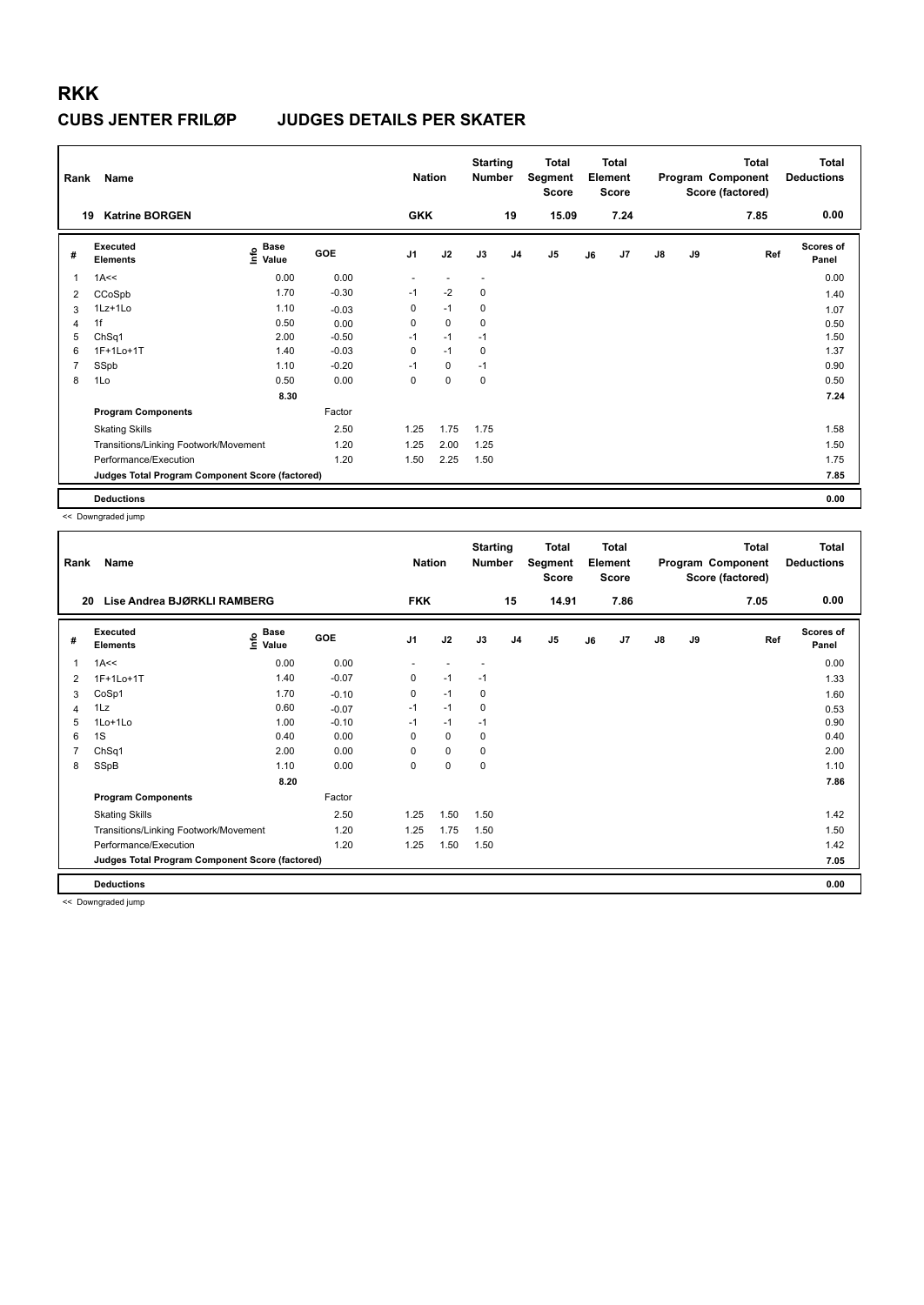# **RKK CUBS JENTER FRILØP**

| Rank           | Name                                            |                                  |         | <b>Nation</b>  |             | <b>Starting</b><br><b>Number</b> |                | <b>Total</b><br>Segment<br><b>Score</b> |    | <b>Total</b><br>Element<br><b>Score</b> |               |    | <b>Total</b><br>Program Component<br>Score (factored) | <b>Total</b><br><b>Deductions</b> |
|----------------|-------------------------------------------------|----------------------------------|---------|----------------|-------------|----------------------------------|----------------|-----------------------------------------|----|-----------------------------------------|---------------|----|-------------------------------------------------------|-----------------------------------|
| 19             | <b>Katrine BORGEN</b>                           |                                  |         | <b>GKK</b>     |             |                                  | 19             | 15.09                                   |    | 7.24                                    |               |    | 7.85                                                  | 0.00                              |
| #              | Executed<br><b>Elements</b>                     | <b>Base</b><br>e Base<br>⊆ Value | GOE     | J <sub>1</sub> | J2          | J3                               | J <sub>4</sub> | J <sub>5</sub>                          | J6 | J7                                      | $\mathsf{J}8$ | J9 | Ref                                                   | <b>Scores of</b><br>Panel         |
| 1              | 1A<<                                            | 0.00                             | 0.00    |                |             |                                  |                |                                         |    |                                         |               |    |                                                       | 0.00                              |
| 2              | CCoSpb                                          | 1.70                             | $-0.30$ | $-1$           | $-2$        | $\pmb{0}$                        |                |                                         |    |                                         |               |    |                                                       | 1.40                              |
| 3              | 1Lz+1Lo                                         | 1.10                             | $-0.03$ | 0              | $-1$        | 0                                |                |                                         |    |                                         |               |    |                                                       | 1.07                              |
| $\overline{4}$ | 1f                                              | 0.50                             | 0.00    | 0              | $\mathbf 0$ | 0                                |                |                                         |    |                                         |               |    |                                                       | 0.50                              |
| 5              | ChSq1                                           | 2.00                             | $-0.50$ | $-1$           | $-1$        | $-1$                             |                |                                         |    |                                         |               |    |                                                       | 1.50                              |
| 6              | 1F+1Lo+1T                                       | 1.40                             | $-0.03$ | 0              | $-1$        | 0                                |                |                                         |    |                                         |               |    |                                                       | 1.37                              |
| 7              | SSpb                                            | 1.10                             | $-0.20$ | $-1$           | $\mathbf 0$ | $-1$                             |                |                                         |    |                                         |               |    |                                                       | 0.90                              |
| 8              | 1Lo                                             | 0.50                             | 0.00    | 0              | $\mathbf 0$ | 0                                |                |                                         |    |                                         |               |    |                                                       | 0.50                              |
|                |                                                 | 8.30                             |         |                |             |                                  |                |                                         |    |                                         |               |    |                                                       | 7.24                              |
|                | <b>Program Components</b>                       |                                  | Factor  |                |             |                                  |                |                                         |    |                                         |               |    |                                                       |                                   |
|                | <b>Skating Skills</b>                           |                                  | 2.50    | 1.25           | 1.75        | 1.75                             |                |                                         |    |                                         |               |    |                                                       | 1.58                              |
|                | Transitions/Linking Footwork/Movement           |                                  | 1.20    | 1.25           | 2.00        | 1.25                             |                |                                         |    |                                         |               |    |                                                       | 1.50                              |
|                | Performance/Execution                           |                                  | 1.20    | 1.50           | 2.25        | 1.50                             |                |                                         |    |                                         |               |    |                                                       | 1.75                              |
|                | Judges Total Program Component Score (factored) |                                  |         |                |             |                                  |                |                                         |    |                                         |               |    |                                                       | 7.85                              |
|                | <b>Deductions</b>                               |                                  |         |                |             |                                  |                |                                         |    |                                         |               |    |                                                       | 0.00                              |

<< Downgraded jump

| Rank | Name                                            |                                           |         | <b>Nation</b>  |           | <b>Starting</b><br><b>Number</b> |                | <b>Total</b><br>Segment<br><b>Score</b> |    | <b>Total</b><br>Element<br><b>Score</b> |               |    | <b>Total</b><br>Program Component<br>Score (factored) | Total<br><b>Deductions</b> |
|------|-------------------------------------------------|-------------------------------------------|---------|----------------|-----------|----------------------------------|----------------|-----------------------------------------|----|-----------------------------------------|---------------|----|-------------------------------------------------------|----------------------------|
| 20   | Lise Andrea BJØRKLI RAMBERG                     |                                           |         | <b>FKK</b>     |           |                                  | 15             | 14.91                                   |    | 7.86                                    |               |    | 7.05                                                  | 0.00                       |
| #    | Executed<br><b>Elements</b>                     | $\frac{e}{E}$ Base<br>$\frac{E}{E}$ Value | GOE     | J <sub>1</sub> | J2        | J3                               | J <sub>4</sub> | J5                                      | J6 | J <sub>7</sub>                          | $\mathsf{J}8$ | J9 | Ref                                                   | Scores of<br>Panel         |
| 1    | 1A<<                                            | 0.00                                      | 0.00    |                |           | $\overline{\phantom{a}}$         |                |                                         |    |                                         |               |    |                                                       | 0.00                       |
| 2    | 1F+1Lo+1T                                       | 1.40                                      | $-0.07$ | 0              | $-1$      | $-1$                             |                |                                         |    |                                         |               |    |                                                       | 1.33                       |
| 3    | CoSp1                                           | 1.70                                      | $-0.10$ | $\Omega$       | $-1$      | 0                                |                |                                         |    |                                         |               |    |                                                       | 1.60                       |
| 4    | 1Lz                                             | 0.60                                      | $-0.07$ | $-1$           | $-1$      | 0                                |                |                                         |    |                                         |               |    |                                                       | 0.53                       |
| 5    | 1Lo+1Lo                                         | 1.00                                      | $-0.10$ | $-1$           | $-1$      | $-1$                             |                |                                         |    |                                         |               |    |                                                       | 0.90                       |
| 6    | 1S                                              | 0.40                                      | 0.00    | 0              | 0         | 0                                |                |                                         |    |                                         |               |    |                                                       | 0.40                       |
| 7    | ChSq1                                           | 2.00                                      | 0.00    | 0              | 0         | 0                                |                |                                         |    |                                         |               |    |                                                       | 2.00                       |
| 8    | SSpB                                            | 1.10                                      | 0.00    | 0              | $\pmb{0}$ | 0                                |                |                                         |    |                                         |               |    |                                                       | 1.10                       |
|      |                                                 | 8.20                                      |         |                |           |                                  |                |                                         |    |                                         |               |    |                                                       | 7.86                       |
|      | <b>Program Components</b>                       |                                           | Factor  |                |           |                                  |                |                                         |    |                                         |               |    |                                                       |                            |
|      | <b>Skating Skills</b>                           |                                           | 2.50    | 1.25           | 1.50      | 1.50                             |                |                                         |    |                                         |               |    |                                                       | 1.42                       |
|      | Transitions/Linking Footwork/Movement           |                                           | 1.20    | 1.25           | 1.75      | 1.50                             |                |                                         |    |                                         |               |    |                                                       | 1.50                       |
|      | Performance/Execution                           |                                           | 1.20    | 1.25           | 1.50      | 1.50                             |                |                                         |    |                                         |               |    |                                                       | 1.42                       |
|      | Judges Total Program Component Score (factored) |                                           |         |                |           |                                  |                |                                         |    |                                         |               |    |                                                       | 7.05                       |
|      | <b>Deductions</b>                               |                                           |         |                |           |                                  |                |                                         |    |                                         |               |    |                                                       | 0.00                       |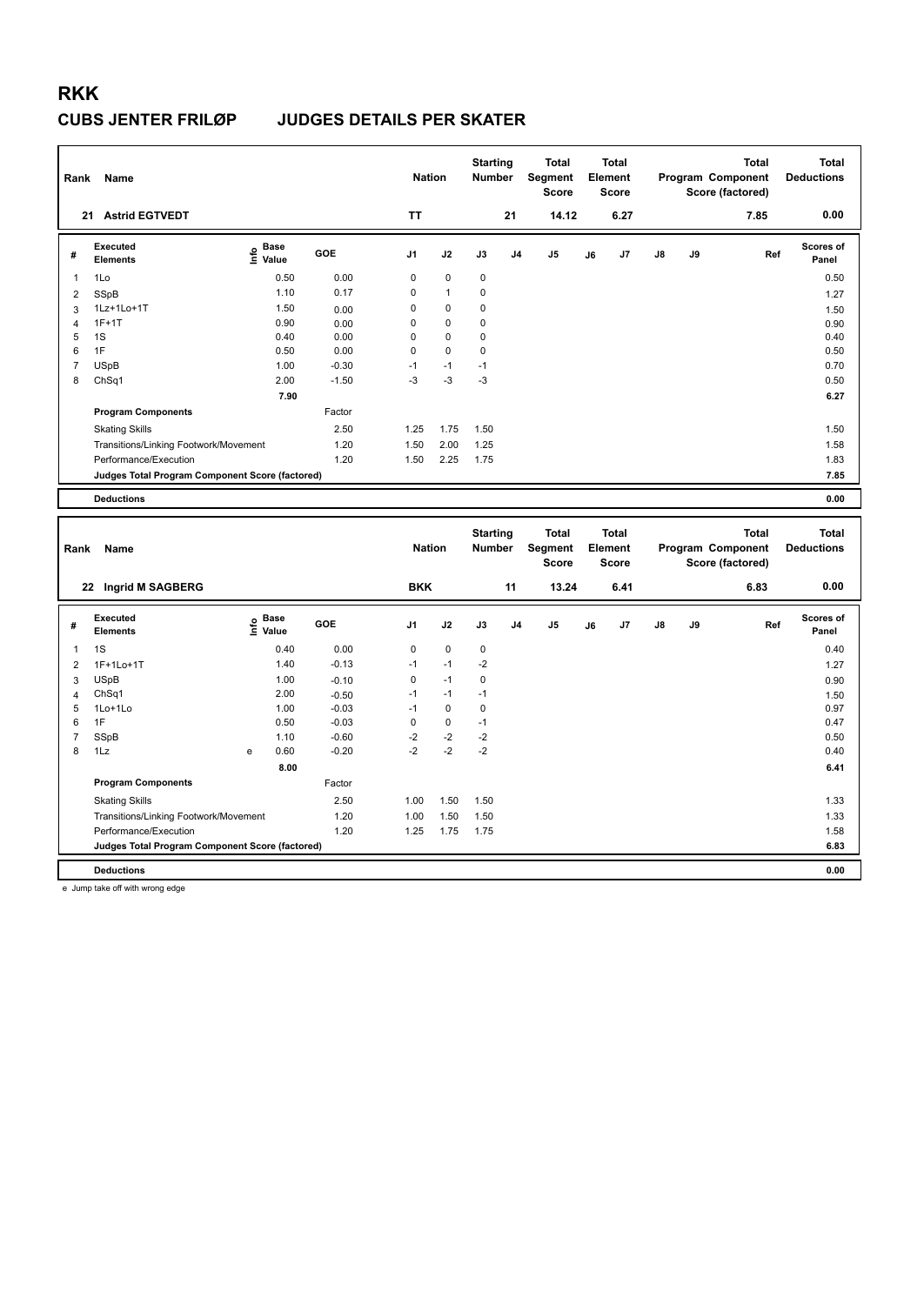| Rank                | Name                                                                     |                                  |                    | <b>Nation</b> |              | <b>Starting</b><br>Number |                | <b>Total</b><br>Segment<br><b>Score</b> |    | <b>Total</b><br>Element<br><b>Score</b> |    |    | <b>Total</b><br>Program Component<br>Score (factored) | <b>Total</b><br><b>Deductions</b> |
|---------------------|--------------------------------------------------------------------------|----------------------------------|--------------------|---------------|--------------|---------------------------|----------------|-----------------------------------------|----|-----------------------------------------|----|----|-------------------------------------------------------|-----------------------------------|
|                     | 21 Astrid EGTVEDT                                                        |                                  |                    | <b>TT</b>     |              |                           | 21             | 14.12                                   |    | 6.27                                    |    |    | 7.85                                                  | 0.00                              |
| #                   | <b>Executed</b><br><b>Elements</b>                                       | <b>Base</b><br>e Base<br>⊆ Value | GOE                | J1            | J2           | J3                        | J <sub>4</sub> | J5                                      | J6 | J7                                      | J8 | J9 | Ref                                                   | <b>Scores of</b><br>Panel         |
| $\mathbf{1}$        | 1Lo                                                                      | 0.50                             | 0.00               | 0             | $\mathbf 0$  | 0                         |                |                                         |    |                                         |    |    |                                                       | 0.50                              |
| $\overline{2}$      | SSpB                                                                     | 1.10                             | 0.17               | 0             | $\mathbf{1}$ | 0                         |                |                                         |    |                                         |    |    |                                                       | 1.27                              |
| 3                   | 1Lz+1Lo+1T                                                               | 1.50                             | 0.00               | 0             | $\mathbf 0$  | $\mathbf 0$               |                |                                         |    |                                         |    |    |                                                       | 1.50                              |
| $\overline{4}$      | $1F+1T$                                                                  | 0.90                             | 0.00               | 0             | 0            | 0                         |                |                                         |    |                                         |    |    |                                                       | 0.90                              |
| 5                   | 1S                                                                       | 0.40                             | 0.00               | 0             | 0            | 0                         |                |                                         |    |                                         |    |    |                                                       | 0.40                              |
| 6                   | 1F                                                                       | 0.50                             | 0.00               | 0             | 0            | $\mathbf 0$               |                |                                         |    |                                         |    |    |                                                       | 0.50                              |
| $\overline{7}$      | <b>USpB</b>                                                              | 1.00                             | $-0.30$            | $-1$          | $-1$         | $-1$                      |                |                                         |    |                                         |    |    |                                                       | 0.70                              |
| 8                   | ChSq1                                                                    | 2.00                             | $-1.50$            | $-3$          | $-3$         | $-3$                      |                |                                         |    |                                         |    |    |                                                       | 0.50                              |
|                     |                                                                          | 7.90                             |                    |               |              |                           |                |                                         |    |                                         |    |    |                                                       | 6.27                              |
|                     | <b>Program Components</b>                                                |                                  | Factor             |               |              |                           |                |                                         |    |                                         |    |    |                                                       |                                   |
|                     | <b>Skating Skills</b>                                                    |                                  | 2.50               | 1.25          | 1.75         | 1.50                      |                |                                         |    |                                         |    |    |                                                       | 1.50                              |
|                     | Transitions/Linking Footwork/Movement                                    |                                  | 1.20               | 1.50          | 2.00         | 1.25                      |                |                                         |    |                                         |    |    |                                                       | 1.58                              |
|                     | Performance/Execution                                                    |                                  | 1.20               | 1.50          | 2.25         | 1.75                      |                |                                         |    |                                         |    |    |                                                       | 1.83                              |
|                     | Judges Total Program Component Score (factored)                          |                                  |                    |               |              |                           |                |                                         |    |                                         |    |    |                                                       | 7.85                              |
|                     |                                                                          |                                  |                    |               |              |                           |                |                                         |    |                                         |    |    |                                                       |                                   |
|                     | <b>Deductions</b>                                                        |                                  |                    |               |              |                           |                |                                         |    |                                         |    |    |                                                       | 0.00                              |
|                     |                                                                          |                                  |                    |               |              |                           |                |                                         |    |                                         |    |    |                                                       |                                   |
| Rank                | Name                                                                     |                                  |                    | <b>Nation</b> |              | <b>Starting</b><br>Number |                | <b>Total</b><br>Segment<br><b>Score</b> |    | <b>Total</b><br>Element<br><b>Score</b> |    |    | <b>Total</b><br>Program Component<br>Score (factored) | <b>Total</b><br><b>Deductions</b> |
|                     | 22 Ingrid M SAGBERG                                                      |                                  |                    | <b>BKK</b>    |              |                           | 11             | 13.24                                   |    | 6.41                                    |    |    | 6.83                                                  | 0.00                              |
| #                   | <b>Executed</b><br><b>Elements</b>                                       | e Base<br>E Value                | GOE                | J1            | J2           | J3                        | J <sub>4</sub> | J <sub>5</sub>                          | J6 | J7                                      | J8 | J9 | Ref                                                   | Scores of<br>Panel                |
| 1                   | 1S                                                                       | 0.40                             | 0.00               | 0             | $\pmb{0}$    | $\pmb{0}$                 |                |                                         |    |                                         |    |    |                                                       | 0.40                              |
| $\overline{2}$      | 1F+1Lo+1T                                                                | 1.40                             | $-0.13$            | $-1$          | $-1$         | $-2$                      |                |                                         |    |                                         |    |    |                                                       |                                   |
|                     | <b>USpB</b>                                                              | 1.00                             |                    | 0             | $-1$         | 0                         |                |                                         |    |                                         |    |    |                                                       | 1.27                              |
| 3                   | ChSq1                                                                    | 2.00                             | $-0.10$            | $-1$          | $-1$         | $-1$                      |                |                                         |    |                                         |    |    |                                                       | 0.90                              |
| $\overline{4}$<br>5 | 1Lo+1Lo                                                                  | 1.00                             | $-0.50$<br>$-0.03$ | $-1$          | $\mathbf 0$  | $\mathbf 0$               |                |                                         |    |                                         |    |    |                                                       | 1.50<br>0.97                      |
| 6                   | 1F                                                                       | 0.50                             | $-0.03$            | 0             | $\mathbf 0$  | $-1$                      |                |                                         |    |                                         |    |    |                                                       | 0.47                              |
| $\overline{7}$      | SSpB                                                                     | 1.10                             | $-0.60$            | $-2$          | $-2$         | $-2$                      |                |                                         |    |                                         |    |    |                                                       | 0.50                              |
| 8                   | 1Lz                                                                      | 0.60<br>е                        | $-0.20$            | $-2$          | $-2$         | $-2$                      |                |                                         |    |                                         |    |    |                                                       | 0.40                              |
|                     |                                                                          | 8.00                             |                    |               |              |                           |                |                                         |    |                                         |    |    |                                                       | 6.41                              |
|                     | <b>Program Components</b>                                                |                                  | Factor             |               |              |                           |                |                                         |    |                                         |    |    |                                                       |                                   |
|                     |                                                                          |                                  | 2.50               | 1.00          | 1.50         | 1.50                      |                |                                         |    |                                         |    |    |                                                       | 1.33                              |
|                     | <b>Skating Skills</b>                                                    |                                  |                    |               |              |                           |                |                                         |    |                                         |    |    |                                                       |                                   |
|                     | Transitions/Linking Footwork/Movement                                    |                                  | 1.20               | 1.00          | 1.50         | 1.50                      |                |                                         |    |                                         |    |    |                                                       | 1.33                              |
|                     | Performance/Execution<br>Judges Total Program Component Score (factored) |                                  | 1.20               | 1.25          | 1.75         | 1.75                      |                |                                         |    |                                         |    |    |                                                       | 1.58<br>6.83                      |

**Deductions 0.00**

e Jump take off with wrong edge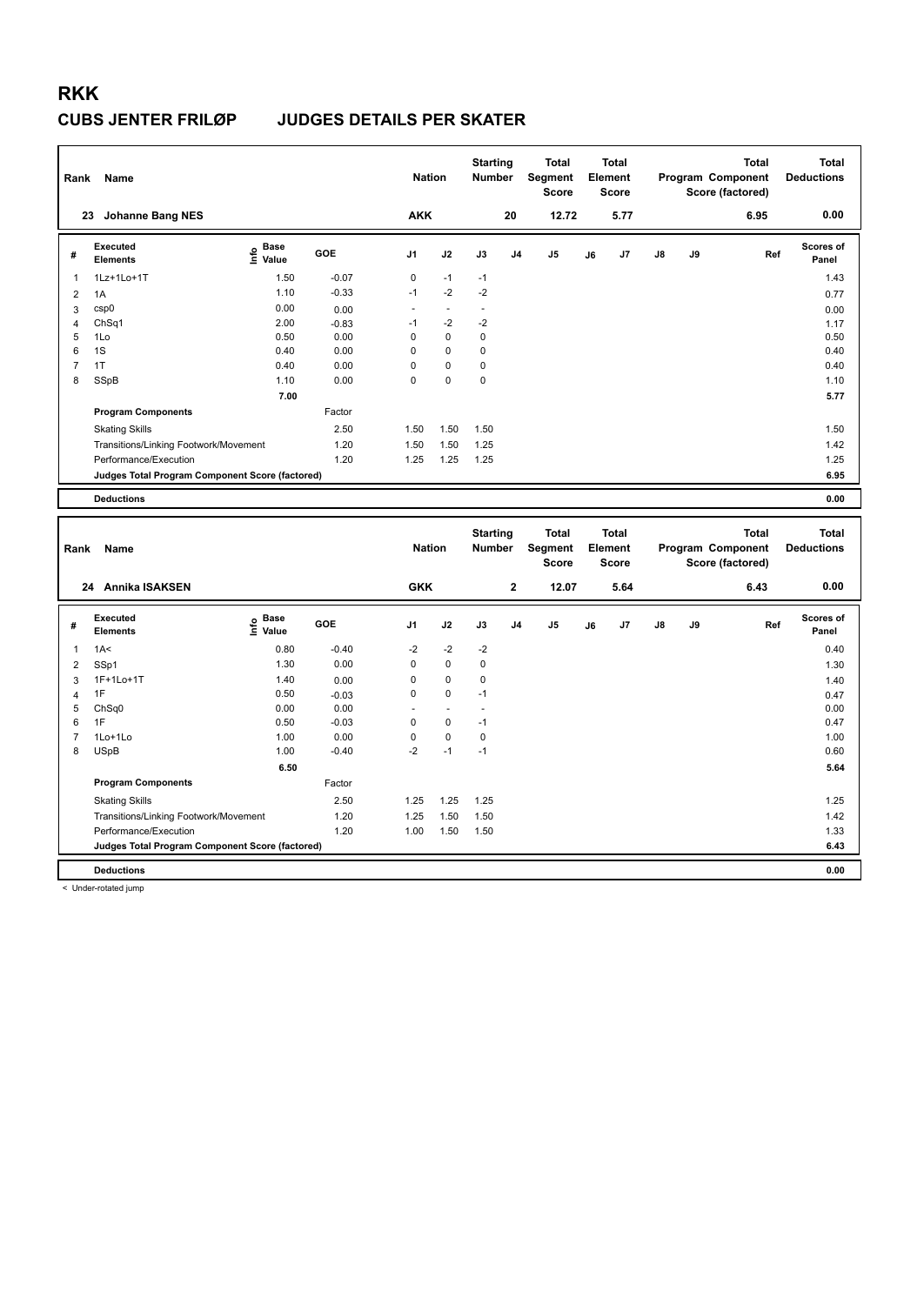| Rank           | Name                                                           |                   |                 | <b>Nation</b>     |                | <b>Starting</b><br><b>Number</b> |                | <b>Total</b><br>Segment<br><b>Score</b> |    | Total<br>Element<br><b>Score</b>        |    |    | <b>Total</b><br>Program Component<br>Score (factored) | <b>Total</b><br><b>Deductions</b> |
|----------------|----------------------------------------------------------------|-------------------|-----------------|-------------------|----------------|----------------------------------|----------------|-----------------------------------------|----|-----------------------------------------|----|----|-------------------------------------------------------|-----------------------------------|
|                | 23 Johanne Bang NES                                            |                   |                 | <b>AKK</b>        |                |                                  | 20             | 12.72                                   |    | 5.77                                    |    |    | 6.95                                                  | 0.00                              |
| #              | <b>Executed</b><br><b>Elements</b>                             | e Base<br>E Value | GOE             | J <sub>1</sub>    | J2             | J3                               | J <sub>4</sub> | J5                                      | J6 | J7                                      | J8 | J9 | Ref                                                   | Scores of<br>Panel                |
| $\mathbf{1}$   | 1Lz+1Lo+1T                                                     | 1.50              | $-0.07$         | 0                 | $-1$           | $-1$                             |                |                                         |    |                                         |    |    |                                                       | 1.43                              |
| $\overline{2}$ | 1A                                                             | 1.10              | $-0.33$         | $-1$              | $-2$           | $-2$                             |                |                                         |    |                                         |    |    |                                                       | 0.77                              |
| 3              | csp0                                                           | 0.00              | 0.00            | $\sim$            | $\overline{a}$ | $\overline{a}$                   |                |                                         |    |                                         |    |    |                                                       | 0.00                              |
| $\overline{4}$ | ChSq1                                                          | 2.00              | $-0.83$         | $-1$              | $-2$           | $-2$                             |                |                                         |    |                                         |    |    |                                                       | 1.17                              |
| 5              | 1Lo                                                            | 0.50              | 0.00            | $\mathsf 0$       | 0              | 0                                |                |                                         |    |                                         |    |    |                                                       | 0.50                              |
| 6              | 1S                                                             | 0.40              | 0.00            | 0                 | 0              | 0                                |                |                                         |    |                                         |    |    |                                                       | 0.40                              |
| $\overline{7}$ | 1T                                                             | 0.40              | 0.00            | $\mathsf 0$       | 0              | 0                                |                |                                         |    |                                         |    |    |                                                       | 0.40                              |
| 8              | SSpB                                                           | 1.10              | 0.00            | $\mathbf 0$       | $\mathbf 0$    | 0                                |                |                                         |    |                                         |    |    |                                                       | 1.10                              |
|                |                                                                | 7.00              |                 |                   |                |                                  |                |                                         |    |                                         |    |    |                                                       | 5.77                              |
|                | <b>Program Components</b>                                      |                   | Factor          |                   |                |                                  |                |                                         |    |                                         |    |    |                                                       |                                   |
|                | <b>Skating Skills</b>                                          |                   | 2.50            | 1.50              | 1.50           | 1.50                             |                |                                         |    |                                         |    |    |                                                       | 1.50                              |
|                | Transitions/Linking Footwork/Movement                          |                   | 1.20            | 1.50              | 1.50           | 1.25                             |                |                                         |    |                                         |    |    |                                                       | 1.42                              |
|                | Performance/Execution                                          |                   | 1.20            | 1.25              | 1.25           | 1.25                             |                |                                         |    |                                         |    |    |                                                       | 1.25                              |
|                | <b>Judges Total Program Component Score (factored)</b>         |                   |                 |                   |                |                                  |                |                                         |    |                                         |    |    |                                                       | 6.95                              |
|                | <b>Deductions</b>                                              |                   |                 |                   |                |                                  |                |                                         |    |                                         |    |    |                                                       | 0.00                              |
|                |                                                                |                   |                 |                   |                |                                  |                |                                         |    |                                         |    |    |                                                       |                                   |
|                |                                                                |                   |                 |                   |                |                                  |                |                                         |    |                                         |    |    |                                                       |                                   |
| Rank           | Name                                                           |                   |                 | <b>Nation</b>     |                | <b>Starting</b><br>Number        |                | <b>Total</b><br>Segment<br><b>Score</b> |    | <b>Total</b><br>Element<br><b>Score</b> |    |    | <b>Total</b><br>Program Component                     | <b>Total</b><br><b>Deductions</b> |
|                | 24 Annika ISAKSEN                                              |                   |                 | <b>GKK</b>        |                |                                  | $\mathbf 2$    | 12.07                                   |    | 5.64                                    |    |    | Score (factored)<br>6.43                              | 0.00                              |
|                |                                                                |                   |                 |                   |                |                                  |                |                                         |    |                                         |    |    |                                                       |                                   |
| #              | <b>Executed</b><br><b>Elements</b>                             |                   | GOE             | J1                | J2             | J3                               | J <sub>4</sub> | J5                                      | J6 | J7                                      | J8 | J9 | Ref                                                   | Scores of<br>Panel                |
|                |                                                                | $rac{e}{E}$ Base  |                 |                   |                |                                  |                |                                         |    |                                         |    |    |                                                       |                                   |
| 1              | 1A<                                                            | 0.80              | $-0.40$         | $-2$              | $-2$           | $-2$                             |                |                                         |    |                                         |    |    |                                                       | 0.40                              |
| $\overline{2}$ | SSp1                                                           | 1.30              | 0.00            | $\mathbf 0$       | $\mathbf 0$    | 0                                |                |                                         |    |                                         |    |    |                                                       | 1.30                              |
| 3              | 1F+1Lo+1T                                                      | 1.40              | 0.00            | 0                 | 0              | 0                                |                |                                         |    |                                         |    |    |                                                       | 1.40                              |
| 4              | 1F                                                             | 0.50              | $-0.03$         | $\mathsf 0$<br>÷. | 0<br>÷,        | $-1$<br>$\sim$                   |                |                                         |    |                                         |    |    |                                                       | 0.47                              |
| 5<br>6         | ChSq0<br>1F                                                    | 0.00<br>0.50      | 0.00<br>$-0.03$ | $\mathbf 0$       | 0              | $-1$                             |                |                                         |    |                                         |    |    |                                                       | 0.00<br>0.47                      |
| 7              | 1Lo+1Lo                                                        | 1.00              | 0.00            | 0                 | 0              | $\mathbf 0$                      |                |                                         |    |                                         |    |    |                                                       | 1.00                              |
| 8              | <b>USpB</b>                                                    | 1.00              | $-0.40$         | $-2$              | $-1$           | $-1$                             |                |                                         |    |                                         |    |    |                                                       | 0.60                              |
|                |                                                                | 6.50              |                 |                   |                |                                  |                |                                         |    |                                         |    |    |                                                       | 5.64                              |
|                | <b>Program Components</b>                                      |                   | Factor          |                   |                |                                  |                |                                         |    |                                         |    |    |                                                       |                                   |
|                |                                                                |                   | 2.50            | 1.25              | 1.25           | 1.25                             |                |                                         |    |                                         |    |    |                                                       | 1.25                              |
|                | <b>Skating Skills</b>                                          |                   | 1.20            | 1.25              | 1.50           | 1.50                             |                |                                         |    |                                         |    |    |                                                       | 1.42                              |
|                | Transitions/Linking Footwork/Movement<br>Performance/Execution |                   | 1.20            | 1.00              | 1.50           | 1.50                             |                |                                         |    |                                         |    |    |                                                       | 1.33                              |
|                | Judges Total Program Component Score (factored)                |                   |                 |                   |                |                                  |                |                                         |    |                                         |    |    |                                                       | 6.43                              |

< Under-rotated jump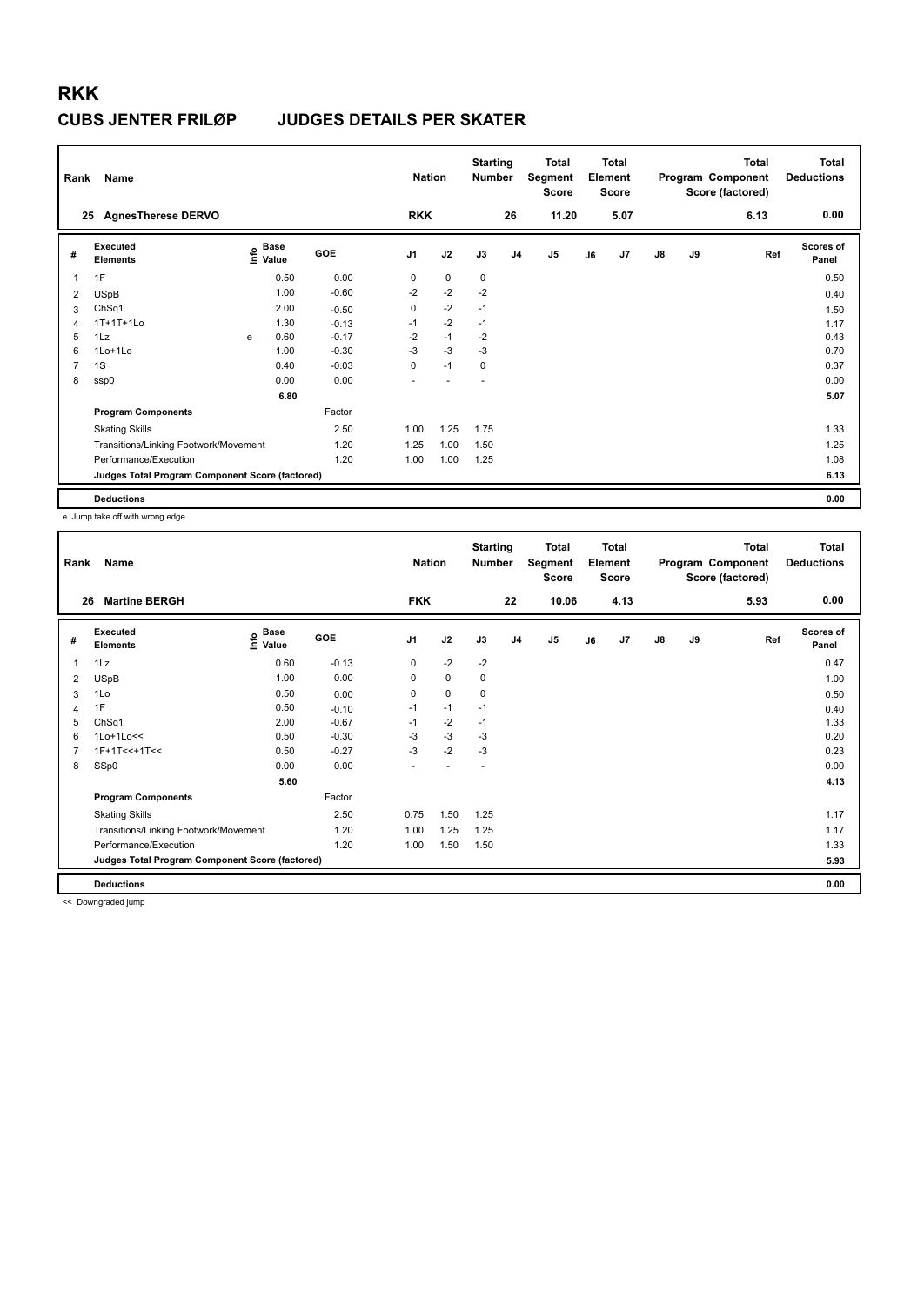| Rank | Name                                            |   |                                           |         | <b>Nation</b>  |      | <b>Starting</b><br>Number |                | <b>Total</b><br>Segment<br><b>Score</b> |    | <b>Total</b><br>Element<br><b>Score</b> |               |    | <b>Total</b><br>Program Component<br>Score (factored) | <b>Total</b><br><b>Deductions</b> |
|------|-------------------------------------------------|---|-------------------------------------------|---------|----------------|------|---------------------------|----------------|-----------------------------------------|----|-----------------------------------------|---------------|----|-------------------------------------------------------|-----------------------------------|
|      | <b>AgnesTherese DERVO</b><br>25                 |   |                                           |         | <b>RKK</b>     |      |                           | 26             | 11.20                                   |    | 5.07                                    |               |    | 6.13                                                  | 0.00                              |
| #    | <b>Executed</b><br><b>Elements</b>              |   | $\frac{e}{E}$ Base<br>$\frac{E}{E}$ Value | GOE     | J <sub>1</sub> | J2   | J3                        | J <sub>4</sub> | J <sub>5</sub>                          | J6 | J7                                      | $\mathsf{J}8$ | J9 | Ref                                                   | <b>Scores of</b><br>Panel         |
| 1    | 1F                                              |   | 0.50                                      | 0.00    | 0              | 0    | 0                         |                |                                         |    |                                         |               |    |                                                       | 0.50                              |
| 2    | <b>USpB</b>                                     |   | 1.00                                      | $-0.60$ | $-2$           | $-2$ | $-2$                      |                |                                         |    |                                         |               |    |                                                       | 0.40                              |
| 3    | ChSq1                                           |   | 2.00                                      | $-0.50$ | 0              | $-2$ | $-1$                      |                |                                         |    |                                         |               |    |                                                       | 1.50                              |
| 4    | 1T+1T+1Lo                                       |   | 1.30                                      | $-0.13$ | $-1$           | $-2$ | $-1$                      |                |                                         |    |                                         |               |    |                                                       | 1.17                              |
| 5    | 1Lz                                             | e | 0.60                                      | $-0.17$ | $-2$           | $-1$ | $-2$                      |                |                                         |    |                                         |               |    |                                                       | 0.43                              |
| 6    | 1Lo+1Lo                                         |   | 1.00                                      | $-0.30$ | $-3$           | $-3$ | $-3$                      |                |                                         |    |                                         |               |    |                                                       | 0.70                              |
| 7    | 1S                                              |   | 0.40                                      | $-0.03$ | 0              | $-1$ | 0                         |                |                                         |    |                                         |               |    |                                                       | 0.37                              |
| 8    | ssp0                                            |   | 0.00                                      | 0.00    |                |      |                           |                |                                         |    |                                         |               |    |                                                       | 0.00                              |
|      |                                                 |   | 6.80                                      |         |                |      |                           |                |                                         |    |                                         |               |    |                                                       | 5.07                              |
|      | <b>Program Components</b>                       |   |                                           | Factor  |                |      |                           |                |                                         |    |                                         |               |    |                                                       |                                   |
|      | <b>Skating Skills</b>                           |   |                                           | 2.50    | 1.00           | 1.25 | 1.75                      |                |                                         |    |                                         |               |    |                                                       | 1.33                              |
|      | Transitions/Linking Footwork/Movement           |   |                                           | 1.20    | 1.25           | 1.00 | 1.50                      |                |                                         |    |                                         |               |    |                                                       | 1.25                              |
|      | Performance/Execution                           |   |                                           | 1.20    | 1.00           | 1.00 | 1.25                      |                |                                         |    |                                         |               |    |                                                       | 1.08                              |
|      | Judges Total Program Component Score (factored) |   |                                           |         |                |      |                           |                |                                         |    |                                         |               |    |                                                       | 6.13                              |
|      | <b>Deductions</b>                               |   |                                           |         |                |      |                           |                |                                         |    |                                         |               |    |                                                       | 0.00                              |

e Jump take off with wrong edge

| Rank | Name                                            |                   |         | <b>Nation</b>  |             | <b>Starting</b><br>Number |                | <b>Total</b><br>Segment<br><b>Score</b> |    | <b>Total</b><br>Element<br><b>Score</b> |               |    | <b>Total</b><br>Program Component<br>Score (factored) | Total<br><b>Deductions</b> |
|------|-------------------------------------------------|-------------------|---------|----------------|-------------|---------------------------|----------------|-----------------------------------------|----|-----------------------------------------|---------------|----|-------------------------------------------------------|----------------------------|
| 26   | <b>Martine BERGH</b>                            |                   |         | <b>FKK</b>     |             |                           | 22             | 10.06                                   |    | 4.13                                    |               |    | 5.93                                                  | 0.00                       |
| #    | Executed<br><b>Elements</b>                     | e Base<br>⊆ Value | GOE     | J <sub>1</sub> | J2          | J3                        | J <sub>4</sub> | J <sub>5</sub>                          | J6 | J <sub>7</sub>                          | $\mathsf{J}8$ | J9 | Ref                                                   | <b>Scores of</b><br>Panel  |
| 1    | 1Lz                                             | 0.60              | $-0.13$ | $\mathbf 0$    | $-2$        | $-2$                      |                |                                         |    |                                         |               |    |                                                       | 0.47                       |
| 2    | <b>USpB</b>                                     | 1.00              | 0.00    | 0              | $\mathbf 0$ | 0                         |                |                                         |    |                                         |               |    |                                                       | 1.00                       |
| 3    | 1Lo                                             | 0.50              | 0.00    | $\Omega$       | $\mathbf 0$ | 0                         |                |                                         |    |                                         |               |    |                                                       | 0.50                       |
| 4    | 1F                                              | 0.50              | $-0.10$ | $-1$           | $-1$        | $-1$                      |                |                                         |    |                                         |               |    |                                                       | 0.40                       |
| 5    | ChSq1                                           | 2.00              | $-0.67$ | $-1$           | $-2$        | $-1$                      |                |                                         |    |                                         |               |    |                                                       | 1.33                       |
| 6    | $1$ Lo $+1$ Lo $<<$                             | 0.50              | $-0.30$ | -3             | $-3$        | $-3$                      |                |                                         |    |                                         |               |    |                                                       | 0.20                       |
| 7    | $1F+1T<<+1T<<$                                  | 0.50              | $-0.27$ | $-3$           | $-2$        | $-3$                      |                |                                         |    |                                         |               |    |                                                       | 0.23                       |
| 8    | SSp0                                            | 0.00              | 0.00    |                |             |                           |                |                                         |    |                                         |               |    |                                                       | 0.00                       |
|      |                                                 | 5.60              |         |                |             |                           |                |                                         |    |                                         |               |    |                                                       | 4.13                       |
|      | <b>Program Components</b>                       |                   | Factor  |                |             |                           |                |                                         |    |                                         |               |    |                                                       |                            |
|      | <b>Skating Skills</b>                           |                   | 2.50    | 0.75           | 1.50        | 1.25                      |                |                                         |    |                                         |               |    |                                                       | 1.17                       |
|      | Transitions/Linking Footwork/Movement           |                   | 1.20    | 1.00           | 1.25        | 1.25                      |                |                                         |    |                                         |               |    |                                                       | 1.17                       |
|      | Performance/Execution                           |                   | 1.20    | 1.00           | 1.50        | 1.50                      |                |                                         |    |                                         |               |    |                                                       | 1.33                       |
|      | Judges Total Program Component Score (factored) |                   |         |                |             |                           |                |                                         |    |                                         |               |    |                                                       | 5.93                       |
|      | <b>Deductions</b>                               |                   |         |                |             |                           |                |                                         |    |                                         |               |    |                                                       | 0.00                       |